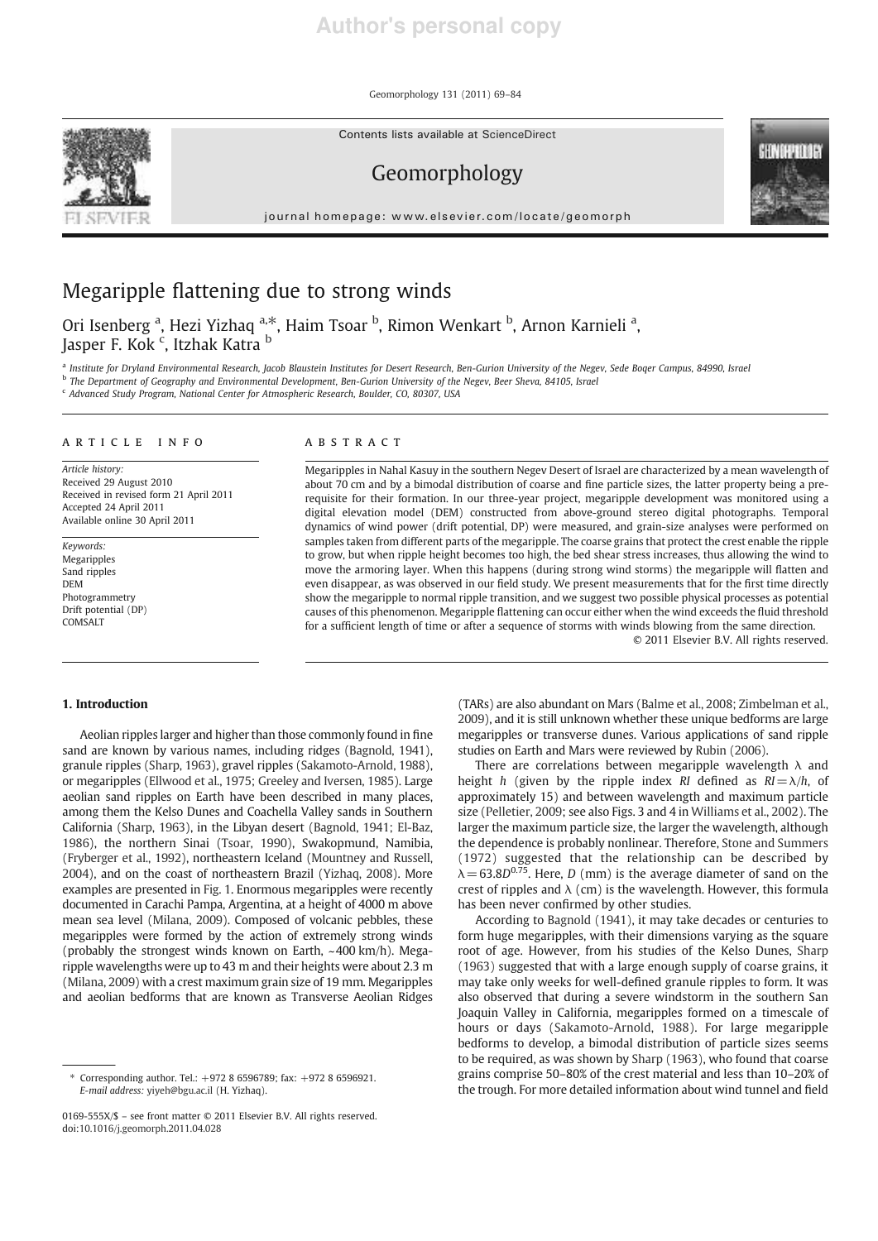Geomorphology 131 (2011) 69–84

Contents lists available at ScienceDirect



Geomorphology

journal homepage: www.elsevier.com/locate/geomorph



# Megaripple flattening due to strong winds

Ori Isenberg <sup>a</sup>, Hezi Yizhaq <sup>a,\*</sup>, Haim Tsoar <sup>b</sup>, Rimon Wenkart <sup>b</sup>, Arnon Karnieli <sup>a</sup>, Jasper F. Kok <sup>c</sup>, Itzhak Katra <sup>b</sup>

a *Institute for Dryland Environmental Research, Jacob Blaustein Institutes for Desert Research, Ben-Gurion University of the Negev, Sede Boqer Campus, 84990, Israel*

b *The Department of Geography and Environmental Development, Ben-Gurion University of the Negev, Beer Sheva, 84105, Israel*

c *Advanced Study Program, National Center for Atmospheric Research, Boulder, CO, 80307, USA*

## article info abstract

*Article history:* Received 29 August 2010 Received in revised form 21 April 2011 Accepted 24 April 2011 Available online 30 April 2011

*Keywords:* Megaripples Sand ripples DEM Photogrammetry Drift potential (DP) **COMSALT** 

Megaripples in Nahal Kasuy in the southern Negev Desert of Israel are characterized by a mean wavelength of about 70 cm and by a bimodal distribution of coarse and fine particle sizes, the latter property being a prerequisite for their formation. In our three-year project, megaripple development was monitored using a digital elevation model (DEM) constructed from above-ground stereo digital photographs. Temporal dynamics of wind power (drift potential, DP) were measured, and grain-size analyses were performed on samples taken from different parts of the megaripple. The coarse grains that protect the crest enable the ripple to grow, but when ripple height becomes too high, the bed shear stress increases, thus allowing the wind to move the armoring layer. When this happens (during strong wind storms) the megaripple will flatten and even disappear, as was observed in our field study. We present measurements that for the first time directly show the megaripple to normal ripple transition, and we suggest two possible physical processes as potential causes of this phenomenon. Megaripple flattening can occur either when the wind exceeds the fluid threshold for a sufficient length of time or after a sequence of storms with winds blowing from the same direction. © 2011 Elsevier B.V. All rights reserved.

# 1. Introduction

Aeolian ripples larger and higher than those commonly found in fine sand are known by various names, including ridges (Bagnold, 1941), granule ripples (Sharp, 1963), gravel ripples (Sakamoto-Arnold, 1988), or megaripples (Ellwood et al., 1975; Greeley and Iversen, 1985). Large aeolian sand ripples on Earth have been described in many places, among them the Kelso Dunes and Coachella Valley sands in Southern California (Sharp, 1963), in the Libyan desert (Bagnold, 1941; El-Baz, 1986), the northern Sinai (Tsoar, 1990), Swakopmund, Namibia, (Fryberger et al., 1992), northeastern Iceland (Mountney and Russell, 2004), and on the coast of northeastern Brazil (Yizhaq, 2008). More examples are presented in Fig. 1. Enormous megaripples were recently documented in Carachi Pampa, Argentina, at a height of 4000 m above mean sea level (Milana, 2009). Composed of volcanic pebbles, these megaripples were formed by the action of extremely strong winds (probably the strongest winds known on Earth, ~400 km/h). Megaripple wavelengths were up to 43 m and their heights were about 2.3 m (Milana, 2009) with a crest maximum grain size of 19 mm. Megaripples and aeolian bedforms that are known as Transverse Aeolian Ridges

(TARs) are also abundant on Mars (Balme et al., 2008; Zimbelman et al., 2009), and it is still unknown whether these unique bedforms are large megaripples or transverse dunes. Various applications of sand ripple studies on Earth and Mars were reviewed by Rubin (2006).

There are correlations between megaripple wavelength  $\lambda$  and height *h* (given by the ripple index *RI* defined as  $RI = \lambda/h$ , of approximately 15) and between wavelength and maximum particle size (Pelletier, 2009; see also Figs. 3 and 4 in Williams et al., 2002). The larger the maximum particle size, the larger the wavelength, although the dependence is probably nonlinear. Therefore, Stone and Summers (1972) suggested that the relationship can be described by  $\lambda = 63.8D^{0.75}$ . Here, *D* (mm) is the average diameter of sand on the crest of ripples and  $\lambda$  (cm) is the wavelength. However, this formula has been never confirmed by other studies.

According to Bagnold (1941), it may take decades or centuries to form huge megaripples, with their dimensions varying as the square root of age. However, from his studies of the Kelso Dunes, Sharp (1963) suggested that with a large enough supply of coarse grains, it may take only weeks for well-defined granule ripples to form. It was also observed that during a severe windstorm in the southern San Joaquin Valley in California, megaripples formed on a timescale of hours or days (Sakamoto-Arnold, 1988). For large megaripple bedforms to develop, a bimodal distribution of particle sizes seems to be required, as was shown by Sharp (1963), who found that coarse grains comprise 50–80% of the crest material and less than 10–20% of the trough. For more detailed information about wind tunnel and field

<sup>⁎</sup> Corresponding author. Tel.: +972 8 6596789; fax: +972 8 6596921. *E-mail address:* yiyeh@bgu.ac.il (H. Yizhaq).

<sup>0169-555</sup>X/\$ – see front matter © 2011 Elsevier B.V. All rights reserved. doi:10.1016/j.geomorph.2011.04.028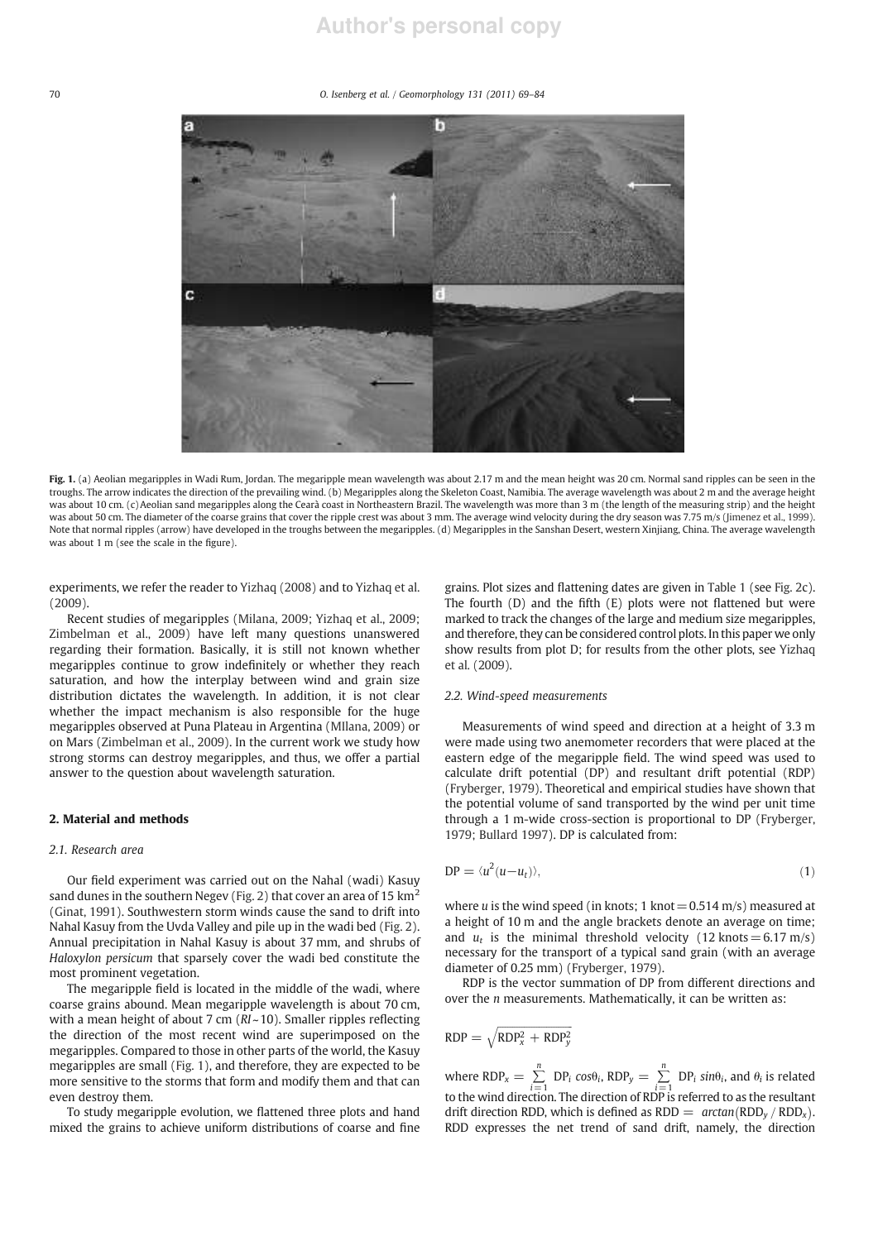

Fig. 1. (a) Aeolian megaripples in Wadi Rum, Jordan. The megaripple mean wavelength was about 2.17 m and the mean height was 20 cm. Normal sand ripples can be seen in the troughs. The arrow indicates the direction of the prevailing wind. (b) Megaripples along the Skeleton Coast, Namibia. The average wavelength was about 2 m and the average height was about 10 cm. (c) Aeolian sand megaripples along the Cearà coast in Northeastern Brazil. The wavelength was more than 3 m (the length of the measuring strip) and the height was about 50 cm. The diameter of the coarse grains that cover the ripple crest was about 3 mm. The average wind velocity during the dry season was 7.75 m/s (Jimenez et al., 1999). Note that normal ripples (arrow) have developed in the troughs between the megaripples. (d) Megaripples in the Sanshan Desert, western Xinjiang, China. The average wavelength was about 1 m (see the scale in the figure).

experiments, we refer the reader to Yizhaq (2008) and to Yizhaq et al. (2009).

Recent studies of megaripples (Milana, 2009; Yizhaq et al., 2009; Zimbelman et al., 2009) have left many questions unanswered regarding their formation. Basically, it is still not known whether megaripples continue to grow indefinitely or whether they reach saturation, and how the interplay between wind and grain size distribution dictates the wavelength. In addition, it is not clear whether the impact mechanism is also responsible for the huge megaripples observed at Puna Plateau in Argentina (MIlana, 2009) or on Mars (Zimbelman et al., 2009). In the current work we study how strong storms can destroy megaripples, and thus, we offer a partial answer to the question about wavelength saturation.

# 2. Material and methods

#### *2.1. Research area*

Our field experiment was carried out on the Nahal (wadi) Kasuy sand dunes in the southern Negev (Fig. 2) that cover an area of 15  $\rm km^2$ (Ginat, 1991). Southwestern storm winds cause the sand to drift into Nahal Kasuy from the Uvda Valley and pile up in the wadi bed (Fig. 2). Annual precipitation in Nahal Kasuy is about 37 mm, and shrubs of *Haloxylon persicum* that sparsely cover the wadi bed constitute the most prominent vegetation.

The megaripple field is located in the middle of the wadi, where coarse grains abound. Mean megaripple wavelength is about 70 cm, with a mean height of about 7 cm ( $RI$  ~ 10). Smaller ripples reflecting the direction of the most recent wind are superimposed on the megaripples. Compared to those in other parts of the world, the Kasuy megaripples are small (Fig. 1), and therefore, they are expected to be more sensitive to the storms that form and modify them and that can even destroy them.

To study megaripple evolution, we flattened three plots and hand mixed the grains to achieve uniform distributions of coarse and fine grains. Plot sizes and flattening dates are given in Table 1 (see Fig. 2c). The fourth (D) and the fifth (E) plots were not flattened but were marked to track the changes of the large and medium size megaripples, and therefore, they can be considered control plots. In this paper we only show results from plot D; for results from the other plots, see Yizhaq et al. (2009).

#### *2.2. Wind-speed measurements*

Measurements of wind speed and direction at a height of 3.3 m were made using two anemometer recorders that were placed at the eastern edge of the megaripple field. The wind speed was used to calculate drift potential (DP) and resultant drift potential (RDP) (Fryberger, 1979). Theoretical and empirical studies have shown that the potential volume of sand transported by the wind per unit time through a 1 m-wide cross-section is proportional to DP (Fryberger, 1979; Bullard 1997). DP is calculated from:

$$
DP = \langle u^2(u - u_t) \rangle, \tag{1}
$$

where  $u$  is the wind speed (in knots; 1 knot  $= 0.514$  m/s) measured at a height of 10 m and the angle brackets denote an average on time; and  $u_t$  is the minimal threshold velocity (12 knots = 6.17 m/s) necessary for the transport of a typical sand grain (with an average diameter of 0.25 mm) (Fryberger, 1979).

RDP is the vector summation of DP from different directions and over the *n* measurements. Mathematically, it can be written as:

$$
RDP = \sqrt{RDP_x^2 + RDP_y^2}
$$

where  $RDP_x = \sum^n$  $\sum_{i=1}^{n}$  DP<sub>i</sub>  $cos\theta_i$ , RDP<sub>y</sub> =  $\sum_{i=1}^{n}$  $\sum_{i=1}$  DP<sub>*i*</sub> sin $\theta_i$ , and  $\theta_i$  is related to the wind direction. The direction of RDP is referred to as the resultant drift direction RDD, which is defined as  $RDD = arctan(RDD<sub>y</sub> / RDD<sub>x</sub>)$ . RDD expresses the net trend of sand drift, namely, the direction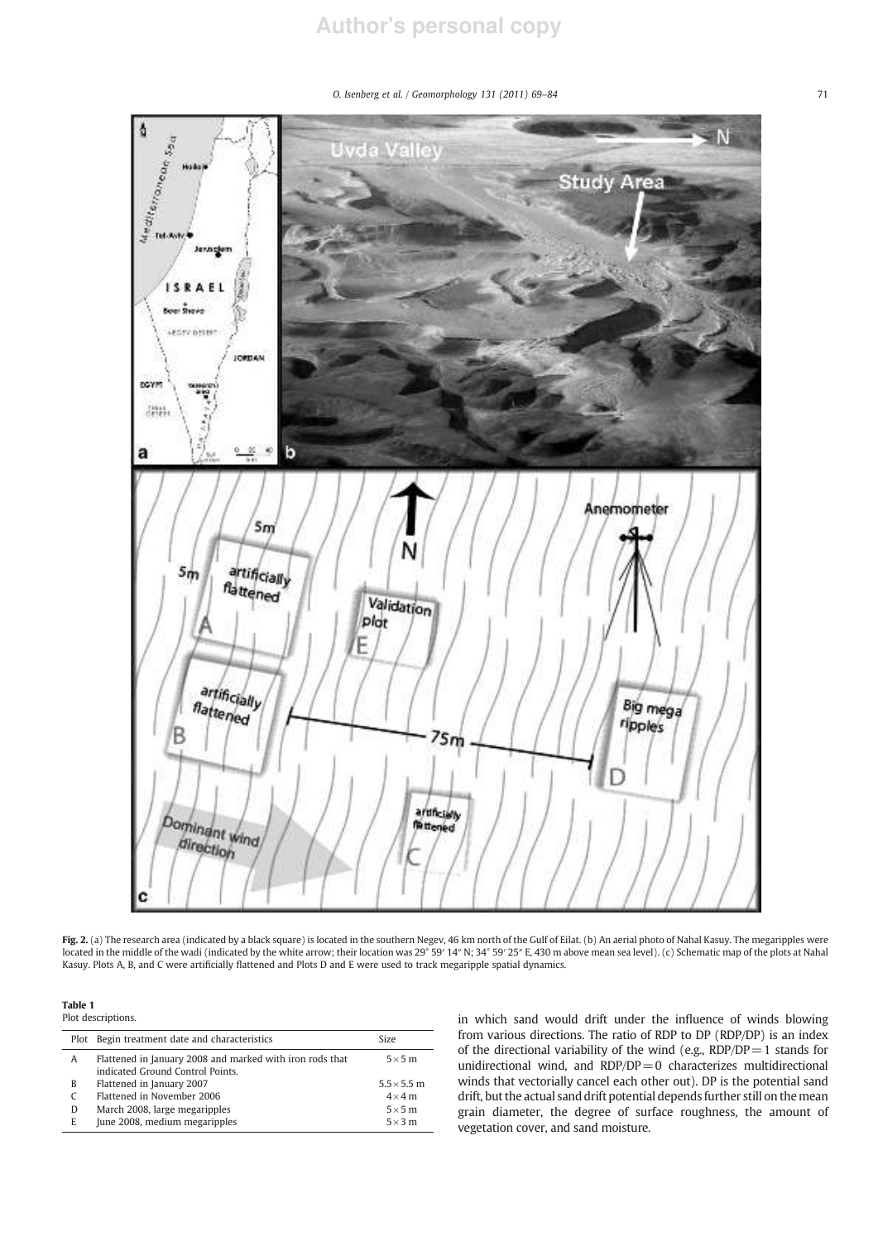*O. Isenberg et al. / Geomorphology 131 (2011) 69*–*84* 71



Fig. 2. (a) The research area (indicated by a black square) is located in the southern Negev, 46 km north of the Gulf of Eilat. (b) An aerial photo of Nahal Kasuy. The megaripples were located in the middle of the wadi (indicated by the white arrow; their location was 29° 59′ 14″ N; 34° 59′ 25″ E, 430 m above mean sea level). (c) Schematic map of the plots at Nahal Kasuy. Plots A, B, and C were artificially flattened and Plots D and E were used to track megaripple spatial dynamics.

Table 1 Plot descriptions.

| Plot | Begin treatment date and characteristics                                                     | <b>Size</b>        |
|------|----------------------------------------------------------------------------------------------|--------------------|
| A    | Flattened in January 2008 and marked with iron rods that<br>indicated Ground Control Points. | $5\times 5$ m      |
| B    | Flattened in January 2007                                                                    | $5.5 \times 5.5$ m |
| C    | Flattened in November 2006                                                                   | $4\times 4$ m      |
| D    | March 2008, large megaripples                                                                | $5\times 5$ m      |
| E    | June 2008, medium megaripples                                                                | $5 \times 3$ m     |
|      |                                                                                              |                    |

in which sand would drift under the influence of winds blowing from various directions. The ratio of RDP to DP (RDP/DP) is an index of the directional variability of the wind (e.g.,  $RDP/DP = 1$  stands for unidirectional wind, and  $RDP/DP = 0$  characterizes multidirectional winds that vectorially cancel each other out). DP is the potential sand drift, but the actual sand drift potential depends further still on the mean grain diameter, the degree of surface roughness, the amount of vegetation cover, and sand moisture.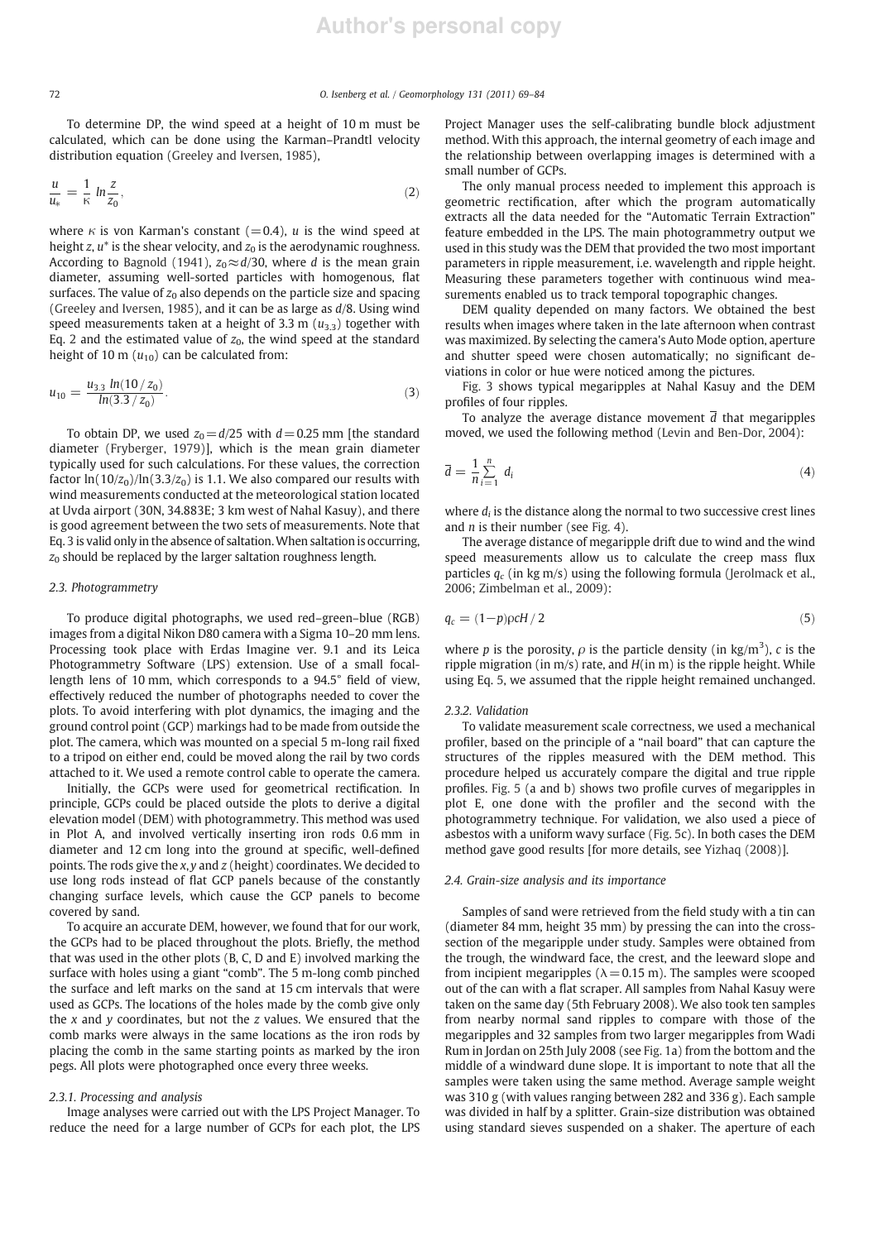To determine DP, the wind speed at a height of 10 m must be calculated, which can be done using the Karman–Prandtl velocity distribution equation (Greeley and Iversen, 1985),

$$
\frac{u}{u_*} = \frac{1}{\kappa} \ln \frac{z}{z_0},\tag{2}
$$

where  $\kappa$  is von Karman's constant (=0.4), *u* is the wind speed at height *z*,  $u^*$  is the shear velocity, and  $z_0$  is the aerodynamic roughness. According to Bagnold (1941),  $z_0 \approx d/30$ , where *d* is the mean grain diameter, assuming well-sorted particles with homogenous, flat surfaces. The value of  $z_0$  also depends on the particle size and spacing (Greeley and Iversen, 1985), and it can be as large as *d*/8. Using wind speed measurements taken at a height of 3.3 m  $(u_{3,3})$  together with Eq. 2 and the estimated value of  $z_0$ , the wind speed at the standard height of 10 m  $(u_{10})$  can be calculated from:

$$
u_{10} = \frac{u_{3,3} \ln(10/z_0)}{\ln(3.3/z_0)}.
$$
\n(3)

To obtain DP, we used  $z_0 = d/25$  with  $d = 0.25$  mm [the standard diameter (Fryberger, 1979)], which is the mean grain diameter typically used for such calculations. For these values, the correction factor  $ln(10/z_0)/ln(3.3/z_0)$  is 1.1. We also compared our results with wind measurements conducted at the meteorological station located at Uvda airport (30N, 34.883E; 3 km west of Nahal Kasuy), and there is good agreement between the two sets of measurements. Note that Eq. 3 is valid only in the absence of saltation.When saltation is occurring, *z*<sup>0</sup> should be replaced by the larger saltation roughness length.

# *2.3. Photogrammetry*

To produce digital photographs, we used red–green–blue (RGB) images from a digital Nikon D80 camera with a Sigma 10–20 mm lens. Processing took place with Erdas Imagine ver. 9.1 and its Leica Photogrammetry Software (LPS) extension. Use of a small focallength lens of 10 mm, which corresponds to a 94.5° field of view, effectively reduced the number of photographs needed to cover the plots. To avoid interfering with plot dynamics, the imaging and the ground control point (GCP) markings had to be made from outside the plot. The camera, which was mounted on a special 5 m-long rail fixed to a tripod on either end, could be moved along the rail by two cords attached to it. We used a remote control cable to operate the camera.

Initially, the GCPs were used for geometrical rectification. In principle, GCPs could be placed outside the plots to derive a digital elevation model (DEM) with photogrammetry. This method was used in Plot A, and involved vertically inserting iron rods 0.6 mm in diameter and 12 cm long into the ground at specific, well-defined points. The rods give the *x*,*y* and *z* (height) coordinates. We decided to use long rods instead of flat GCP panels because of the constantly changing surface levels, which cause the GCP panels to become covered by sand.

To acquire an accurate DEM, however, we found that for our work, the GCPs had to be placed throughout the plots. Briefly, the method that was used in the other plots (B, C, D and E) involved marking the surface with holes using a giant "comb". The 5 m-long comb pinched the surface and left marks on the sand at 15 cm intervals that were used as GCPs. The locations of the holes made by the comb give only the *x* and *y* coordinates, but not the *z* values. We ensured that the comb marks were always in the same locations as the iron rods by placing the comb in the same starting points as marked by the iron pegs. All plots were photographed once every three weeks.

#### *2.3.1. Processing and analysis*

Image analyses were carried out with the LPS Project Manager. To reduce the need for a large number of GCPs for each plot, the LPS Project Manager uses the self-calibrating bundle block adjustment method. With this approach, the internal geometry of each image and the relationship between overlapping images is determined with a small number of GCPs.

The only manual process needed to implement this approach is geometric rectification, after which the program automatically extracts all the data needed for the "Automatic Terrain Extraction" feature embedded in the LPS. The main photogrammetry output we used in this study was the DEM that provided the two most important parameters in ripple measurement, i.e. wavelength and ripple height. Measuring these parameters together with continuous wind measurements enabled us to track temporal topographic changes.

DEM quality depended on many factors. We obtained the best results when images where taken in the late afternoon when contrast was maximized. By selecting the camera's Auto Mode option, aperture and shutter speed were chosen automatically; no significant deviations in color or hue were noticed among the pictures.

Fig. 3 shows typical megaripples at Nahal Kasuy and the DEM profiles of four ripples.

To analyze the average distance movement  $\overline{d}$  that megaripples moved, we used the following method (Levin and Ben-Dor, 2004):

$$
\overline{d} = \frac{1}{n} \sum_{i=1}^{n} d_i \tag{4}
$$

where  $d_i$  is the distance along the normal to two successive crest lines and *n* is their number (see Fig. 4).

The average distance of megaripple drift due to wind and the wind speed measurements allow us to calculate the creep mass flux particles *q<sup>c</sup>* (in kg m/s) using the following formula (Jerolmack et al., 2006; Zimbelman et al., 2009):

$$
q_c = (1 - p)\rho c H / 2 \tag{5}
$$

where *p* is the porosity,  $\rho$  is the particle density (in kg/m<sup>3</sup>), *c* is the ripple migration (in m/s) rate, and *H*(in m) is the ripple height. While using Eq. 5, we assumed that the ripple height remained unchanged.

#### *2.3.2. Validation*

To validate measurement scale correctness, we used a mechanical profiler, based on the principle of a "nail board" that can capture the structures of the ripples measured with the DEM method. This procedure helped us accurately compare the digital and true ripple profiles. Fig. 5 (a and b) shows two profile curves of megaripples in plot E, one done with the profiler and the second with the photogrammetry technique. For validation, we also used a piece of asbestos with a uniform wavy surface (Fig. 5c). In both cases the DEM method gave good results [for more details, see Yizhaq (2008)].

#### *2.4. Grain-size analysis and its importance*

Samples of sand were retrieved from the field study with a tin can (diameter 84 mm, height 35 mm) by pressing the can into the crosssection of the megaripple under study. Samples were obtained from the trough, the windward face, the crest, and the leeward slope and from incipient megaripples ( $\lambda = 0.15$  m). The samples were scooped out of the can with a flat scraper. All samples from Nahal Kasuy were taken on the same day (5th February 2008). We also took ten samples from nearby normal sand ripples to compare with those of the megaripples and 32 samples from two larger megaripples from Wadi Rum in Jordan on 25th July 2008 (see Fig. 1a) from the bottom and the middle of a windward dune slope. It is important to note that all the samples were taken using the same method. Average sample weight was 310 g (with values ranging between 282 and 336 g). Each sample was divided in half by a splitter. Grain-size distribution was obtained using standard sieves suspended on a shaker. The aperture of each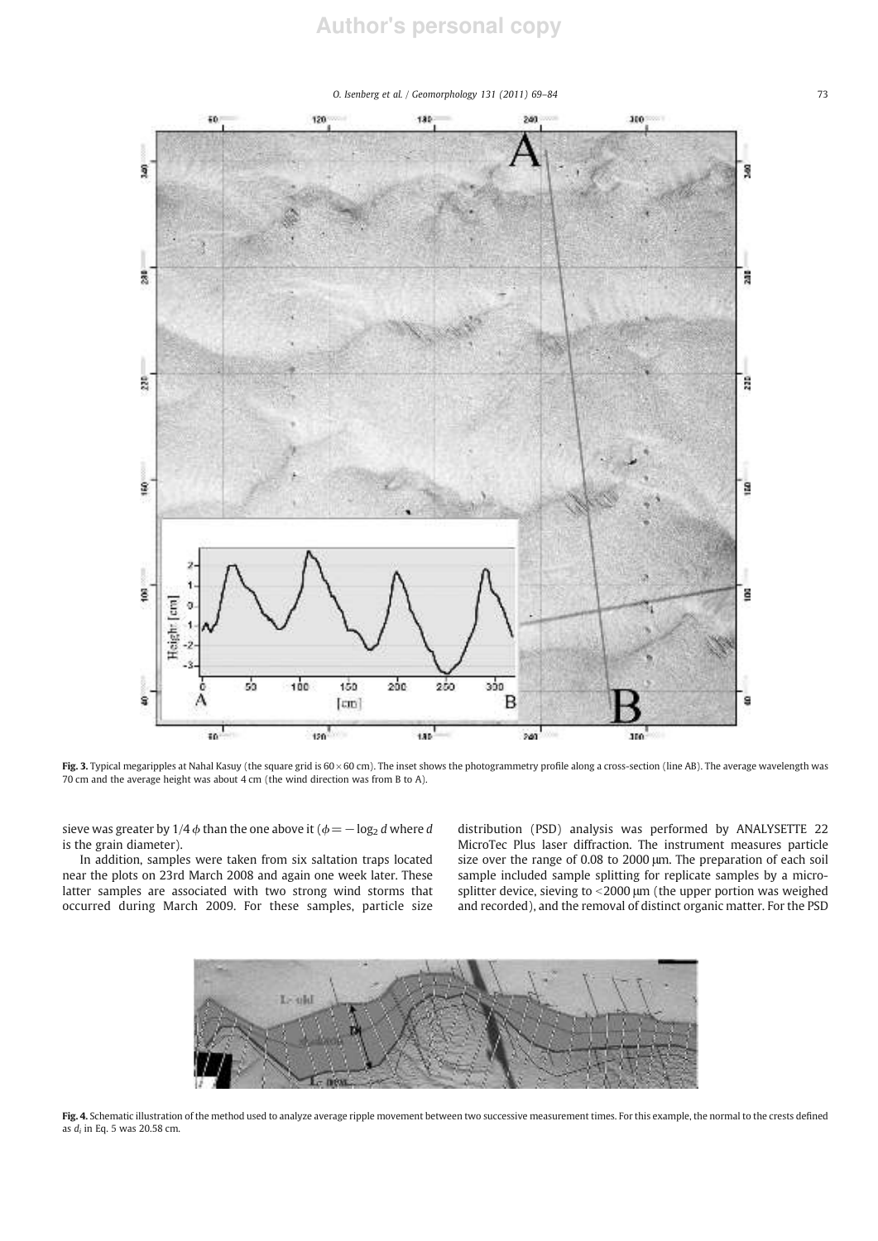

Fig. 3. Typical megaripples at Nahal Kasuy (the square grid is 60 × 60 cm). The inset shows the photogrammetry profile along a cross-section (line AB). The average wavelength was 70 cm and the average height was about 4 cm (the wind direction was from B to A).

sieve was greater by  $1/4 \phi$  than the one above it  $(\phi = -\log_2 d$  where *d* is the grain diameter).

In addition, samples were taken from six saltation traps located near the plots on 23rd March 2008 and again one week later. These latter samples are associated with two strong wind storms that occurred during March 2009. For these samples, particle size

distribution (PSD) analysis was performed by ANALYSETTE 22 MicroTec Plus laser diffraction. The instrument measures particle size over the range of 0.08 to 2000 μm. The preparation of each soil sample included sample splitting for replicate samples by a microsplitter device, sieving to <2000 μm (the upper portion was weighed and recorded), and the removal of distinct organic matter. For the PSD



Fig. 4. Schematic illustration of the method used to analyze average ripple movement between two successive measurement times. For this example, the normal to the crests defined as *d<sup>i</sup>* in Eq. 5 was 20.58 cm.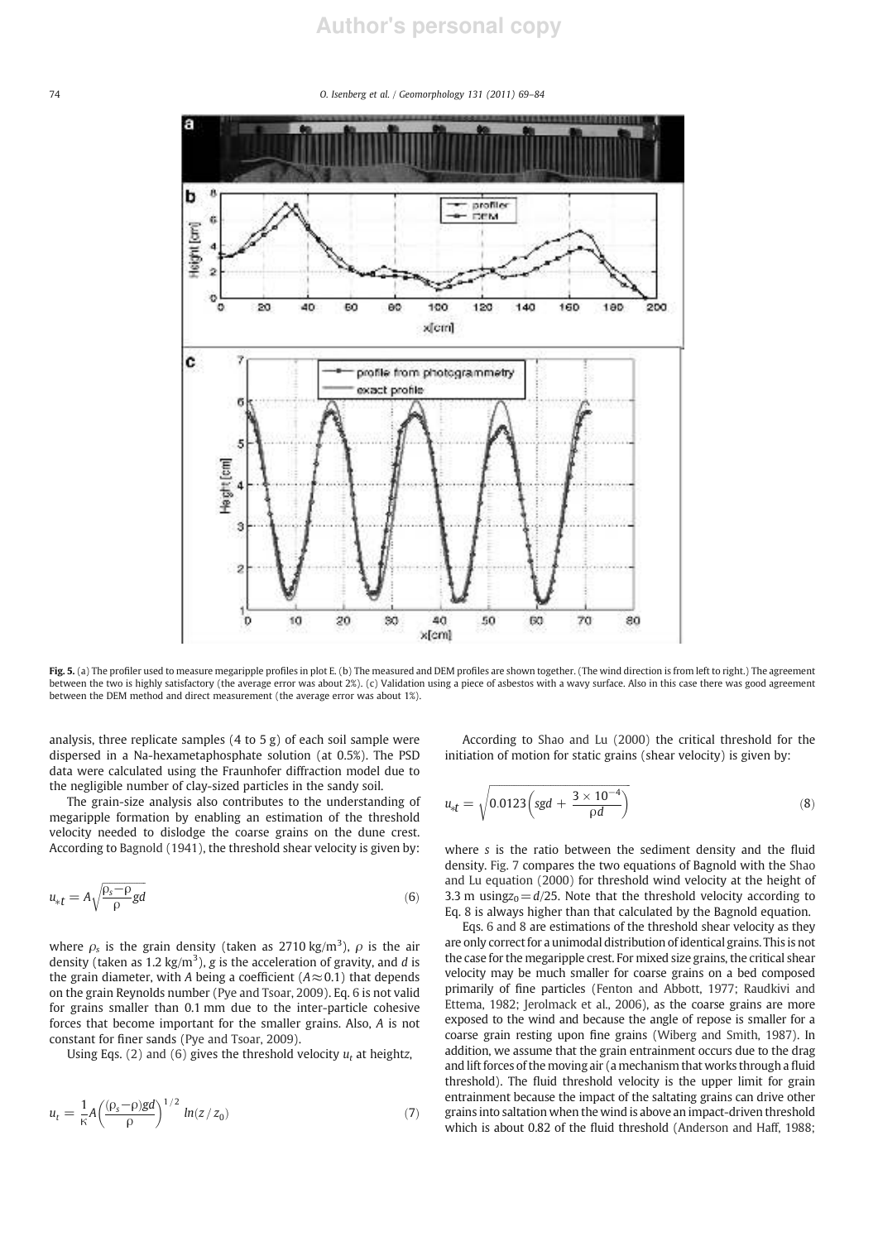74 *O. Isenberg et al. / Geomorphology 131 (2011) 69*–*84*



Fig. 5. (a) The profiler used to measure megaripple profiles in plot E. (b) The measured and DEM profiles are shown together. (The wind direction is from left to right.) The agreement between the two is highly satisfactory (the average error was about 2%). (c) Validation using a piece of asbestos with a wavy surface. Also in this case there was good agreement between the DEM method and direct measurement (the average error was about 1%).

analysis, three replicate samples (4 to 5 g) of each soil sample were dispersed in a Na-hexametaphosphate solution (at 0.5%). The PSD data were calculated using the Fraunhofer diffraction model due to the negligible number of clay-sized particles in the sandy soil.

The grain-size analysis also contributes to the understanding of megaripple formation by enabling an estimation of the threshold velocity needed to dislodge the coarse grains on the dune crest. According to Bagnold (1941), the threshold shear velocity is given by:

$$
u_{*t} = A \sqrt{\frac{\rho_s - \rho}{\rho} gd} \tag{6}
$$

where  $\rho_s$  is the grain density (taken as 2710 kg/m<sup>3</sup>),  $\rho$  is the air density (taken as 1.2 kg/m<sup>3</sup>), g is the acceleration of gravity, and *d* is the grain diameter, with *A* being a coefficient  $(A \approx 0.1)$  that depends on the grain Reynolds number (Pye and Tsoar, 2009). Eq. 6 is not valid for grains smaller than 0.1 mm due to the inter-particle cohesive forces that become important for the smaller grains. Also, *A* is not constant for finer sands (Pye and Tsoar, 2009).

Using Eqs. (2) and (6) gives the threshold velocity  $u_t$  at heightz,

$$
u_t = \frac{1}{\kappa} A \left( \frac{(\rho_s - \rho) g d}{\rho} \right)^{1/2} \ln(z/z_0)
$$
 (7)

According to Shao and Lu (2000) the critical threshold for the initiation of motion for static grains (shear velocity) is given by:

$$
u_{\ast t} = \sqrt{0.0123 \left(sgd + \frac{3 \times 10^{-4}}{\rho d}\right)}
$$
 (8)

where *s* is the ratio between the sediment density and the fluid density. Fig. 7 compares the two equations of Bagnold with the Shao and Lu equation (2000) for threshold wind velocity at the height of 3.3 m using $z_0 = d/25$ . Note that the threshold velocity according to Eq. 8 is always higher than that calculated by the Bagnold equation.

Eqs. 6 and 8 are estimations of the threshold shear velocity as they are only correct for a unimodal distribution of identical grains. This is not the case for the megaripple crest. For mixed size grains, the critical shear velocity may be much smaller for coarse grains on a bed composed primarily of fine particles (Fenton and Abbott, 1977; Raudkivi and Ettema, 1982; Jerolmack et al., 2006), as the coarse grains are more exposed to the wind and because the angle of repose is smaller for a coarse grain resting upon fine grains (Wiberg and Smith, 1987). In addition, we assume that the grain entrainment occurs due to the drag and lift forces of the moving air (a mechanism that works through a fluid threshold). The fluid threshold velocity is the upper limit for grain entrainment because the impact of the saltating grains can drive other grains into saltation when the wind is above an impact-driven threshold which is about 0.82 of the fluid threshold (Anderson and Haff, 1988;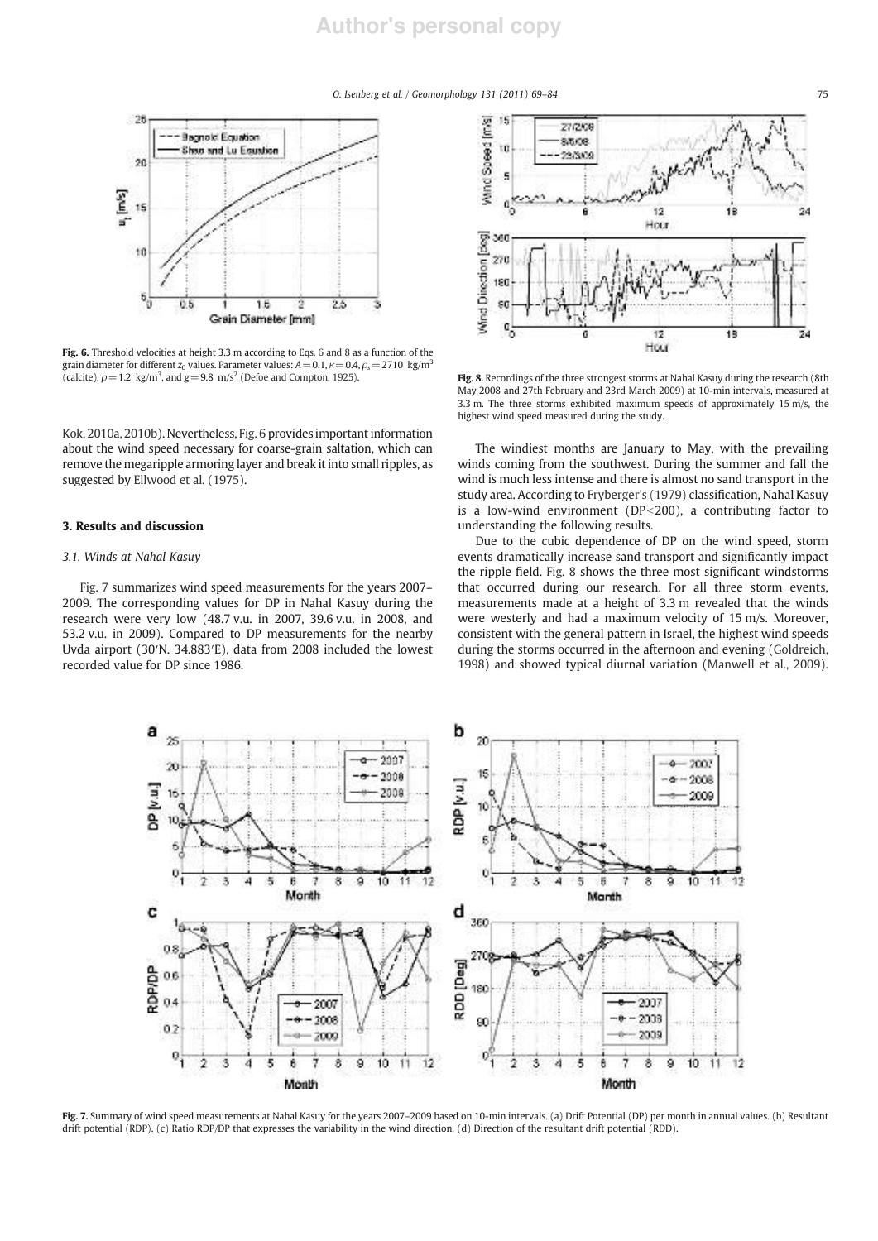

Fig. 6. Threshold velocities at height 3.3 m according to Eqs. 6 and 8 as a function of the grain diameter for different  $z_0$  values. Parameter values:  $A = 0.1$ ,  $\kappa = 0.4$ ,  $\rho_s = 2710 \text{ kg/m}^3$ (calcite),  $\rho$  = 1.2 kg/m<sup>3</sup>, and  $g$  = 9.8 m/s<sup>2</sup> (Defoe and Compton, 1925).

Kok, 2010a, 2010b). Nevertheless, Fig. 6 provides important information about the wind speed necessary for coarse-grain saltation, which can remove the megaripple armoring layer and break it into small ripples, as suggested by Ellwood et al. (1975).

# 3. Results and discussion

#### *3.1. Winds at Nahal Kasuy*

Fig. 7 summarizes wind speed measurements for the years 2007– 2009. The corresponding values for DP in Nahal Kasuy during the research were very low (48.7 v.u. in 2007, 39.6 v.u. in 2008, and 53.2 v.u. in 2009). Compared to DP measurements for the nearby Uvda airport (30′N. 34.883′E), data from 2008 included the lowest recorded value for DP since 1986.



Fig. 8. Recordings of the three strongest storms at Nahal Kasuy during the research (8th May 2008 and 27th February and 23rd March 2009) at 10-min intervals, measured at 3.3 m. The three storms exhibited maximum speeds of approximately 15 m/s, the highest wind speed measured during the study.

The windiest months are January to May, with the prevailing winds coming from the southwest. During the summer and fall the wind is much less intense and there is almost no sand transport in the study area. According to Fryberger's (1979) classification, Nahal Kasuy is a low-wind environment ( $DP < 200$ ), a contributing factor to understanding the following results.

Due to the cubic dependence of DP on the wind speed, storm events dramatically increase sand transport and significantly impact the ripple field. Fig. 8 shows the three most significant windstorms that occurred during our research. For all three storm events, measurements made at a height of 3.3 m revealed that the winds were westerly and had a maximum velocity of 15 m/s. Moreover, consistent with the general pattern in Israel, the highest wind speeds during the storms occurred in the afternoon and evening (Goldreich, 1998) and showed typical diurnal variation (Manwell et al., 2009).



Fig. 7. Summary of wind speed measurements at Nahal Kasuy for the years 2007–2009 based on 10-min intervals. (a) Drift Potential (DP) per month in annual values. (b) Resultant drift potential (RDP). (c) Ratio RDP/DP that expresses the variability in the wind direction. (d) Direction of the resultant drift potential (RDD).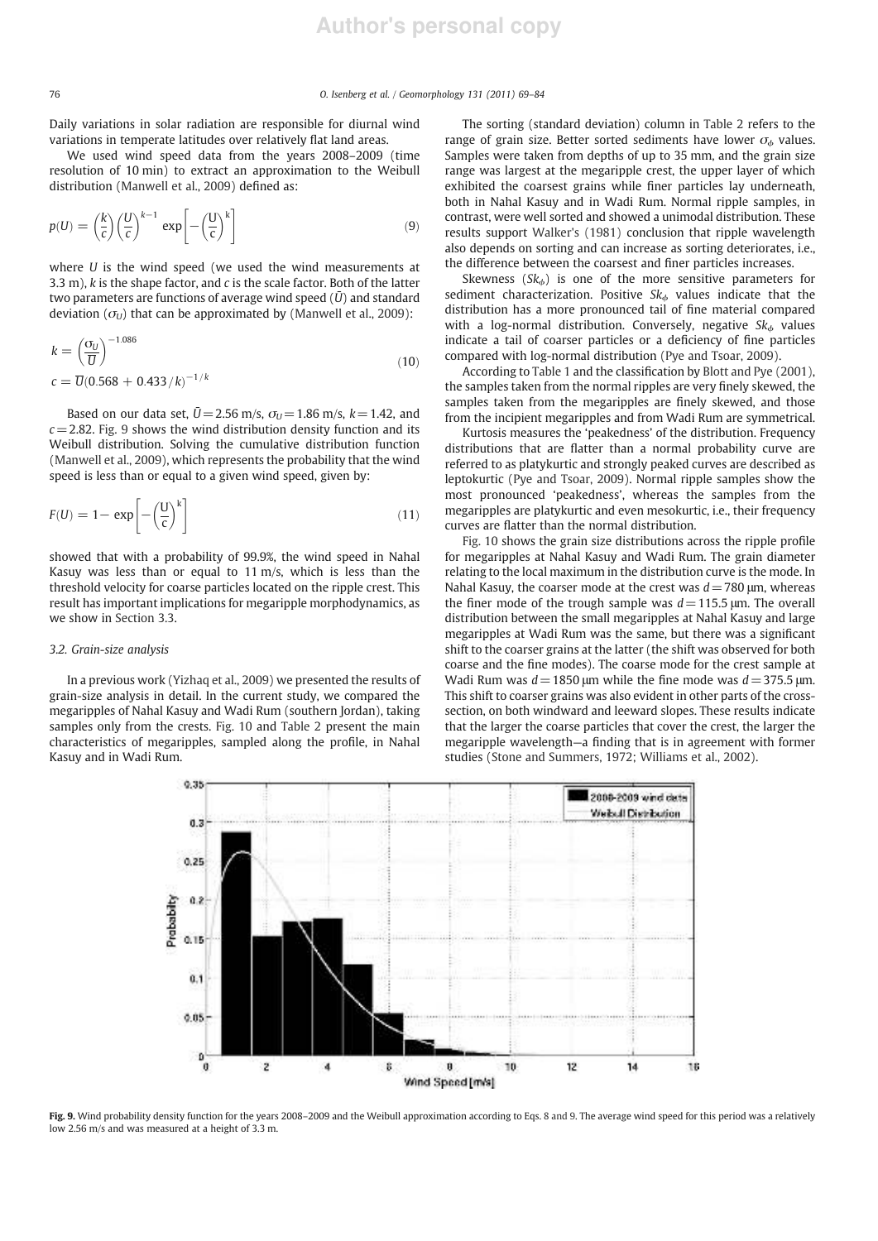Daily variations in solar radiation are responsible for diurnal wind variations in temperate latitudes over relatively flat land areas.

We used wind speed data from the years 2008–2009 (time resolution of 10 min) to extract an approximation to the Weibull distribution (Manwell et al., 2009) defined as:

$$
p(U) = \left(\frac{k}{c}\right) \left(\frac{U}{c}\right)^{k-1} \exp\left[-\left(\frac{U}{c}\right)^k\right] \tag{9}
$$

where *U* is the wind speed (we used the wind measurements at 3.3 m), *k* is the shape factor, and *c* is the scale factor. Both of the latter two parameters are functions of average wind speed  $(\bar{U})$  and standard deviation  $(\sigma_U)$  that can be approximated by (Manwell et al., 2009):

$$
k = \left(\frac{\sigma_U}{U}\right)^{-1.086}
$$
  

$$
c = \overline{U}(0.568 + 0.433/k)^{-1/k}
$$
 (10)

Based on our data set,  $\bar{U} = 2.56$  m/s,  $\sigma_U = 1.86$  m/s,  $k = 1.42$ , and  $c = 2.82$ . Fig. 9 shows the wind distribution density function and its Weibull distribution. Solving the cumulative distribution function (Manwell et al., 2009), which represents the probability that the wind speed is less than or equal to a given wind speed, given by:

$$
F(U) = 1 - \exp\left[-\left(\frac{U}{c}\right)^k\right] \tag{11}
$$

showed that with a probability of 99.9%, the wind speed in Nahal Kasuy was less than or equal to 11 m/s, which is less than the threshold velocity for coarse particles located on the ripple crest. This result has important implications for megaripple morphodynamics, as we show in Section 3.3.

#### *3.2. Grain-size analysis*

In a previous work (Yizhaq et al., 2009) we presented the results of grain-size analysis in detail. In the current study, we compared the megaripples of Nahal Kasuy and Wadi Rum (southern Jordan), taking samples only from the crests. Fig. 10 and Table 2 present the main characteristics of megaripples, sampled along the profile, in Nahal Kasuy and in Wadi Rum.

The sorting (standard deviation) column in Table 2 refers to the range of grain size. Better sorted sediments have lower  $\sigma_{\phi}$  values. Samples were taken from depths of up to 35 mm, and the grain size range was largest at the megaripple crest, the upper layer of which exhibited the coarsest grains while finer particles lay underneath, both in Nahal Kasuy and in Wadi Rum. Normal ripple samples, in contrast, were well sorted and showed a unimodal distribution. These results support Walker's (1981) conclusion that ripple wavelength also depends on sorting and can increase as sorting deteriorates, i.e., the difference between the coarsest and finer particles increases.

Skewness  $(Sk_{\phi})$  is one of the more sensitive parameters for sediment characterization. Positive *Sk*<sup>*b*</sup> values indicate that the distribution has a more pronounced tail of fine material compared with a log-normal distribution. Conversely, negative *Sk*<sup>ϕ</sup> values indicate a tail of coarser particles or a deficiency of fine particles compared with log-normal distribution (Pye and Tsoar, 2009).

According to Table 1 and the classification by Blott and Pye (2001), the samples taken from the normal ripples are very finely skewed, the samples taken from the megaripples are finely skewed, and those from the incipient megaripples and from Wadi Rum are symmetrical.

Kurtosis measures the 'peakedness' of the distribution. Frequency distributions that are flatter than a normal probability curve are referred to as platykurtic and strongly peaked curves are described as leptokurtic (Pye and Tsoar, 2009). Normal ripple samples show the most pronounced 'peakedness', whereas the samples from the megaripples are platykurtic and even mesokurtic, i.e., their frequency curves are flatter than the normal distribution.

Fig. 10 shows the grain size distributions across the ripple profile for megaripples at Nahal Kasuy and Wadi Rum. The grain diameter relating to the local maximum in the distribution curve is the mode. In Nahal Kasuy, the coarser mode at the crest was *d*= 780 μm, whereas the finer mode of the trough sample was *d*= 115.5 μm. The overall distribution between the small megaripples at Nahal Kasuy and large megaripples at Wadi Rum was the same, but there was a significant shift to the coarser grains at the latter (the shift was observed for both coarse and the fine modes). The coarse mode for the crest sample at Wadi Rum was  $d = 1850$  μm while the fine mode was  $d = 375.5$  μm. This shift to coarser grains was also evident in other parts of the crosssection, on both windward and leeward slopes. These results indicate that the larger the coarse particles that cover the crest, the larger the megaripple wavelength—a finding that is in agreement with former studies (Stone and Summers, 1972; Williams et al., 2002).



Fig. 9. Wind probability density function for the years 2008–2009 and the Weibull approximation according to Eqs. 8 and 9. The average wind speed for this period was a relatively low 2.56 m/s and was measured at a height of 3.3 m.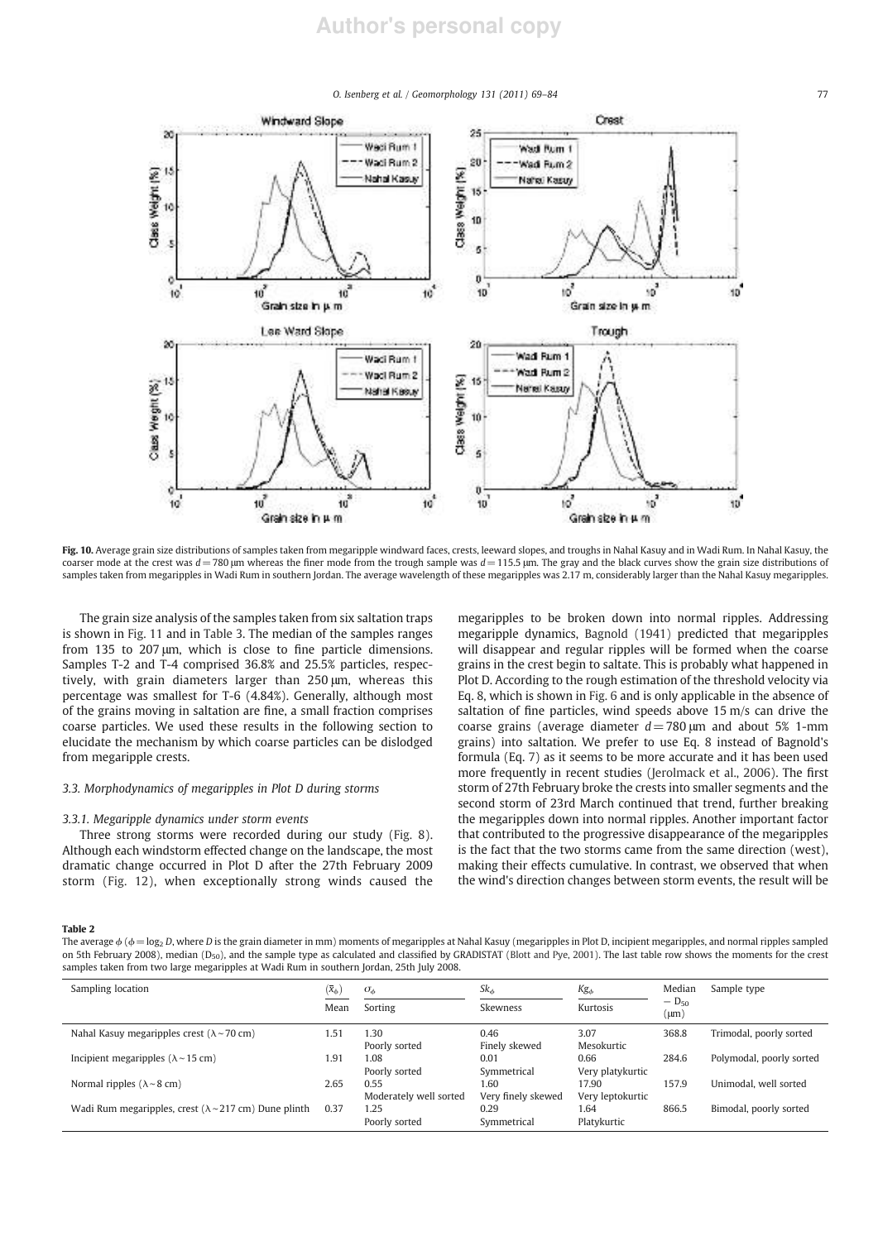

Fig. 10. Average grain size distributions of samples taken from megaripple windward faces, crests, leeward slopes, and troughs in Nahal Kasuy and in Wadi Rum. In Nahal Kasuy, the coarser mode at the crest was  $d = 780 \text{ µm}$  whereas the finer mode from the trough sample was  $d = 115.5 \text{ µm}$ . The gray and the black curves show the grain size distributions of samples taken from megaripples in Wadi Rum in southern Jordan. The average wavelength of these megaripples was 2.17 m, considerably larger than the Nahal Kasuy megaripples.

The grain size analysis of the samples taken from six saltation traps is shown in Fig. 11 and in Table 3. The median of the samples ranges from 135 to 207 μm, which is close to fine particle dimensions. Samples T-2 and T-4 comprised 36.8% and 25.5% particles, respectively, with grain diameters larger than 250 μm, whereas this percentage was smallest for T-6 (4.84%). Generally, although most of the grains moving in saltation are fine, a small fraction comprises coarse particles. We used these results in the following section to elucidate the mechanism by which coarse particles can be dislodged from megaripple crests.

#### *3.3. Morphodynamics of megaripples in Plot D during storms*

#### *3.3.1. Megaripple dynamics under storm events*

Three strong storms were recorded during our study (Fig. 8). Although each windstorm effected change on the landscape, the most dramatic change occurred in Plot D after the 27th February 2009 storm (Fig. 12), when exceptionally strong winds caused the

megaripples to be broken down into normal ripples. Addressing megaripple dynamics, Bagnold (1941) predicted that megaripples will disappear and regular ripples will be formed when the coarse grains in the crest begin to saltate. This is probably what happened in Plot D. According to the rough estimation of the threshold velocity via Eq. 8, which is shown in Fig. 6 and is only applicable in the absence of saltation of fine particles, wind speeds above 15 m/s can drive the coarse grains (average diameter *d*= 780 μm and about 5% 1-mm grains) into saltation. We prefer to use Eq. 8 instead of Bagnold's formula (Eq. 7) as it seems to be more accurate and it has been used more frequently in recent studies (Jerolmack et al., 2006). The first storm of 27th February broke the crests into smaller segments and the second storm of 23rd March continued that trend, further breaking the megaripples down into normal ripples. Another important factor that contributed to the progressive disappearance of the megaripples is the fact that the two storms came from the same direction (west), making their effects cumulative. In contrast, we observed that when the wind's direction changes between storm events, the result will be

#### Table 2

The average  $φ$  ( $φ = log<sub>2</sub>$  *D*, where *D* is the grain diameter in mm) moments of megaripples at Nahal Kasuy (megaripples in Plot D, incipient megaripples, and normal ripples sampled on 5th February 2008), median (D<sub>50</sub>), and the sample type as calculated and classified by GRADISTAT (Blott and Pye, 2001). The last table row shows the moments for the crest samples taken from two large megaripples at Wadi Rum in southern Jordan, 25th July 2008.

| Sampling location                                                | $(\overline{x}_{\varphi})$ | $\sigma_{\phi}$        | $Sk_{ab}$          | Kg <sub>d</sub>  | Median            | Sample type              |  |
|------------------------------------------------------------------|----------------------------|------------------------|--------------------|------------------|-------------------|--------------------------|--|
|                                                                  | Mean                       | Sorting                | Skewness           | Kurtosis         | $-D_{50}$<br>(µm) |                          |  |
| Nahal Kasuy megaripples crest ( $\lambda \sim 70$ cm)            | 1.51                       | 1.30                   | 0.46               | 3.07             | 368.8             | Trimodal, poorly sorted  |  |
|                                                                  |                            | Poorly sorted          | Finely skewed      | Mesokurtic       |                   |                          |  |
| Incipient megaripples ( $\lambda \sim 15$ cm)                    | 1.91                       | 1.08                   | 0.01               | 0.66             | 284.6             | Polymodal, poorly sorted |  |
|                                                                  |                            | Poorly sorted          | Symmetrical        | Very platykurtic |                   |                          |  |
| Normal ripples ( $\lambda \sim 8$ cm)                            | 2.65                       | 0.55                   | 1.60               | 17.90            | 157.9             | Unimodal, well sorted    |  |
|                                                                  |                            | Moderately well sorted | Very finely skewed | Very leptokurtic |                   |                          |  |
| Wadi Rum megaripples, crest ( $\lambda \sim 217$ cm) Dune plinth | 0.37                       | 1.25                   | 0.29               | 1.64             | 866.5             | Bimodal, poorly sorted   |  |
|                                                                  |                            | Poorly sorted          | Symmetrical        | Platykurtic      |                   |                          |  |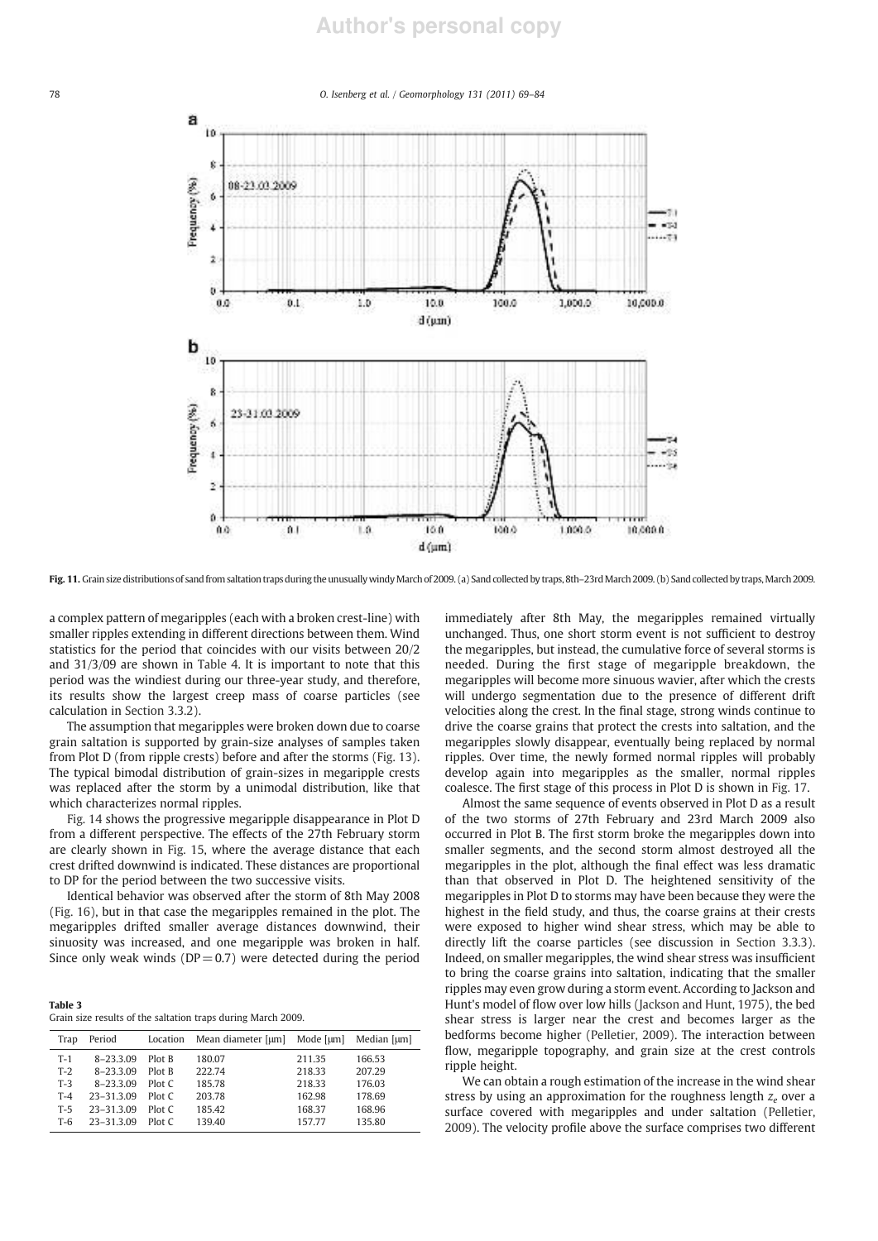

Fig. 11. Grain size distributions of sand from saltation traps during the unusually windy March of 2009. (a) Sand collected by traps, 8th–23rd March 2009. (b) Sand collected by traps, March 2009.

a complex pattern of megaripples (each with a broken crest-line) with smaller ripples extending in different directions between them. Wind statistics for the period that coincides with our visits between 20/2 and 31/3/09 are shown in Table 4. It is important to note that this period was the windiest during our three-year study, and therefore, its results show the largest creep mass of coarse particles (see calculation in Section 3.3.2).

The assumption that megaripples were broken down due to coarse grain saltation is supported by grain-size analyses of samples taken from Plot D (from ripple crests) before and after the storms (Fig. 13). The typical bimodal distribution of grain-sizes in megaripple crests was replaced after the storm by a unimodal distribution, like that which characterizes normal ripples.

Fig. 14 shows the progressive megaripple disappearance in Plot D from a different perspective. The effects of the 27th February storm are clearly shown in Fig. 15, where the average distance that each crest drifted downwind is indicated. These distances are proportional to DP for the period between the two successive visits.

Identical behavior was observed after the storm of 8th May 2008 (Fig. 16), but in that case the megaripples remained in the plot. The megaripples drifted smaller average distances downwind, their sinuosity was increased, and one megaripple was broken in half. Since only weak winds ( $DP = 0.7$ ) were detected during the period

Table 3 Grain size results of the saltation traps during March 2009.

| Trap  | Period        | Location | Mean diameter [µm] | Mode $[µm]$ | Median [µm] |
|-------|---------------|----------|--------------------|-------------|-------------|
| $T-1$ | 8-23.3.09     | Plot B   | 180.07             | 211.35      | 166.53      |
| $T-2$ | $8 - 23.3.09$ | Plot B   | 222.74             | 218.33      | 207.29      |
| $T-3$ | 8-23.3.09     | Plot C   | 185.78             | 218.33      | 176.03      |
| $T-4$ | 23-31.3.09    | Plot C   | 203.78             | 162.98      | 178.69      |
| $T-5$ | 23-31.3.09    | Plot C   | 185.42             | 168.37      | 168.96      |
| T-6   | 23-31.3.09    | Plot C   | 139.40             | 157.77      | 135.80      |

immediately after 8th May, the megaripples remained virtually unchanged. Thus, one short storm event is not sufficient to destroy the megaripples, but instead, the cumulative force of several storms is needed. During the first stage of megaripple breakdown, the megaripples will become more sinuous wavier, after which the crests will undergo segmentation due to the presence of different drift velocities along the crest. In the final stage, strong winds continue to drive the coarse grains that protect the crests into saltation, and the megaripples slowly disappear, eventually being replaced by normal ripples. Over time, the newly formed normal ripples will probably develop again into megaripples as the smaller, normal ripples coalesce. The first stage of this process in Plot D is shown in Fig. 17.

Almost the same sequence of events observed in Plot D as a result of the two storms of 27th February and 23rd March 2009 also occurred in Plot B. The first storm broke the megaripples down into smaller segments, and the second storm almost destroyed all the megaripples in the plot, although the final effect was less dramatic than that observed in Plot D. The heightened sensitivity of the megaripples in Plot D to storms may have been because they were the highest in the field study, and thus, the coarse grains at their crests were exposed to higher wind shear stress, which may be able to directly lift the coarse particles (see discussion in Section 3.3.3). Indeed, on smaller megaripples, the wind shear stress was insufficient to bring the coarse grains into saltation, indicating that the smaller ripples may even grow during a storm event. According to Jackson and Hunt's model of flow over low hills (Jackson and Hunt, 1975), the bed shear stress is larger near the crest and becomes larger as the bedforms become higher (Pelletier, 2009). The interaction between flow, megaripple topography, and grain size at the crest controls ripple height.

We can obtain a rough estimation of the increase in the wind shear stress by using an approximation for the roughness length *z<sup>e</sup>* over a surface covered with megaripples and under saltation (Pelletier, 2009). The velocity profile above the surface comprises two different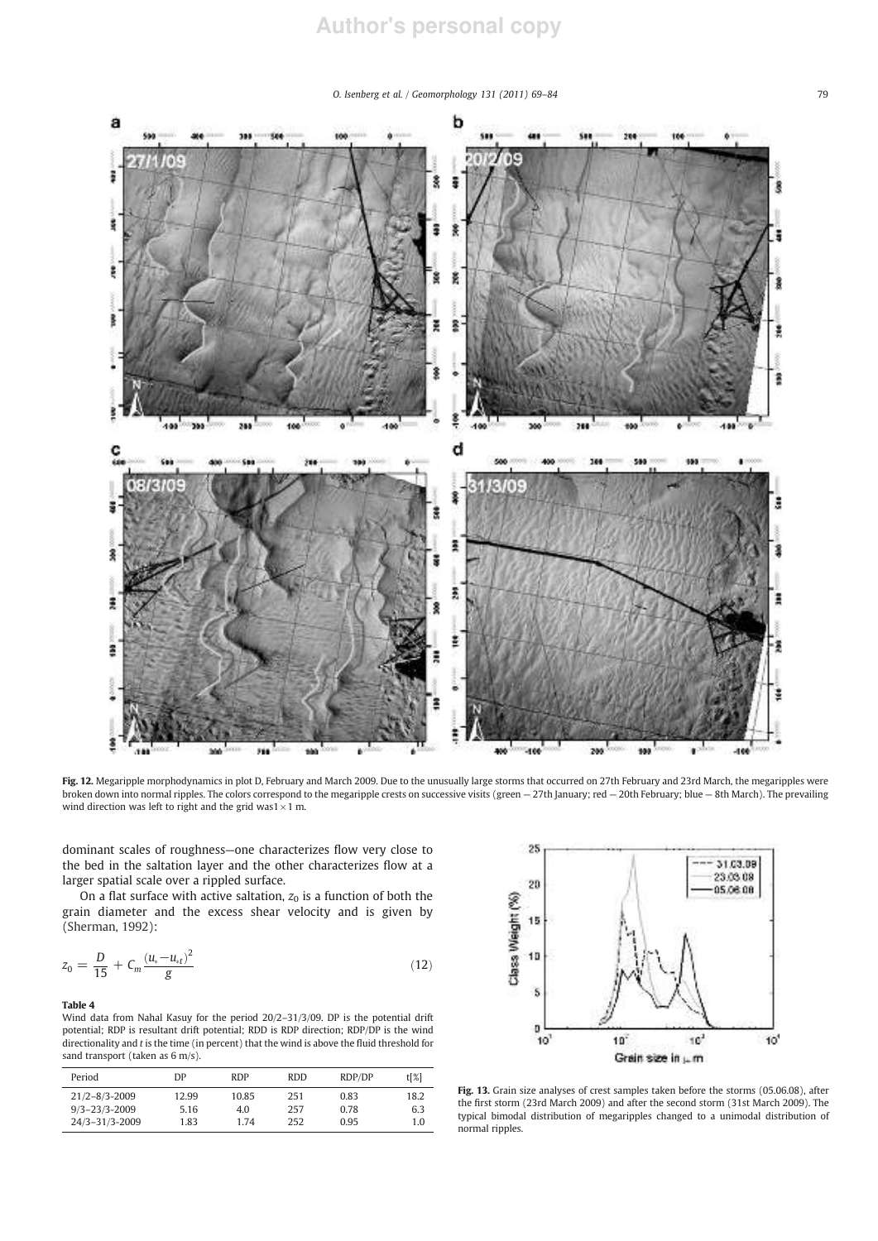

Fig. 12. Megaripple morphodynamics in plot D, February and March 2009. Due to the unusually large storms that occurred on 27th February and 23rd March, the megaripples were broken down into normal ripples. The colors correspond to the megaripple crests on successive visits (green — 27th January; red — 20th February; blue — 8th March). The prevailing wind direction was left to right and the grid was1 $\times$ 1 m.

dominant scales of roughness—one characterizes flow very close to the bed in the saltation layer and the other characterizes flow at a larger spatial scale over a rippled surface.

On a flat surface with active saltation,  $z_0$  is a function of both the grain diameter and the excess shear velocity and is given by (Sherman, 1992):

$$
z_0 = \frac{D}{15} + C_m \frac{(u_* - u_{*t})^2}{g} \tag{12}
$$

#### Table 4

Wind data from Nahal Kasuy for the period 20/2–31/3/09. DP is the potential drift potential; RDP is resultant drift potential; RDD is RDP direction; RDP/DP is the wind directionality and *t* is the time (in percent) that the wind is above the fluid threshold for sand transport (taken as 6 m/s).

| Period              | DР    | <b>RDP</b> | RDD. | RDP/DP | tl%l |
|---------------------|-------|------------|------|--------|------|
| $21/2 - 8/3 - 2009$ | 12.99 | 10.85      | 251  | 0.83   | 18.2 |
| $9/3 - 23/3 - 2009$ | 5.16  | 4.0        | 257  | 0.78   | 6.3  |
| 24/3-31/3-2009      | 1.83  | 1.74       | 252  | 0.95   | 1.0  |



Fig. 13. Grain size analyses of crest samples taken before the storms (05.06.08), after the first storm (23rd March 2009) and after the second storm (31st March 2009). The typical bimodal distribution of megaripples changed to a unimodal distribution of normal ripples.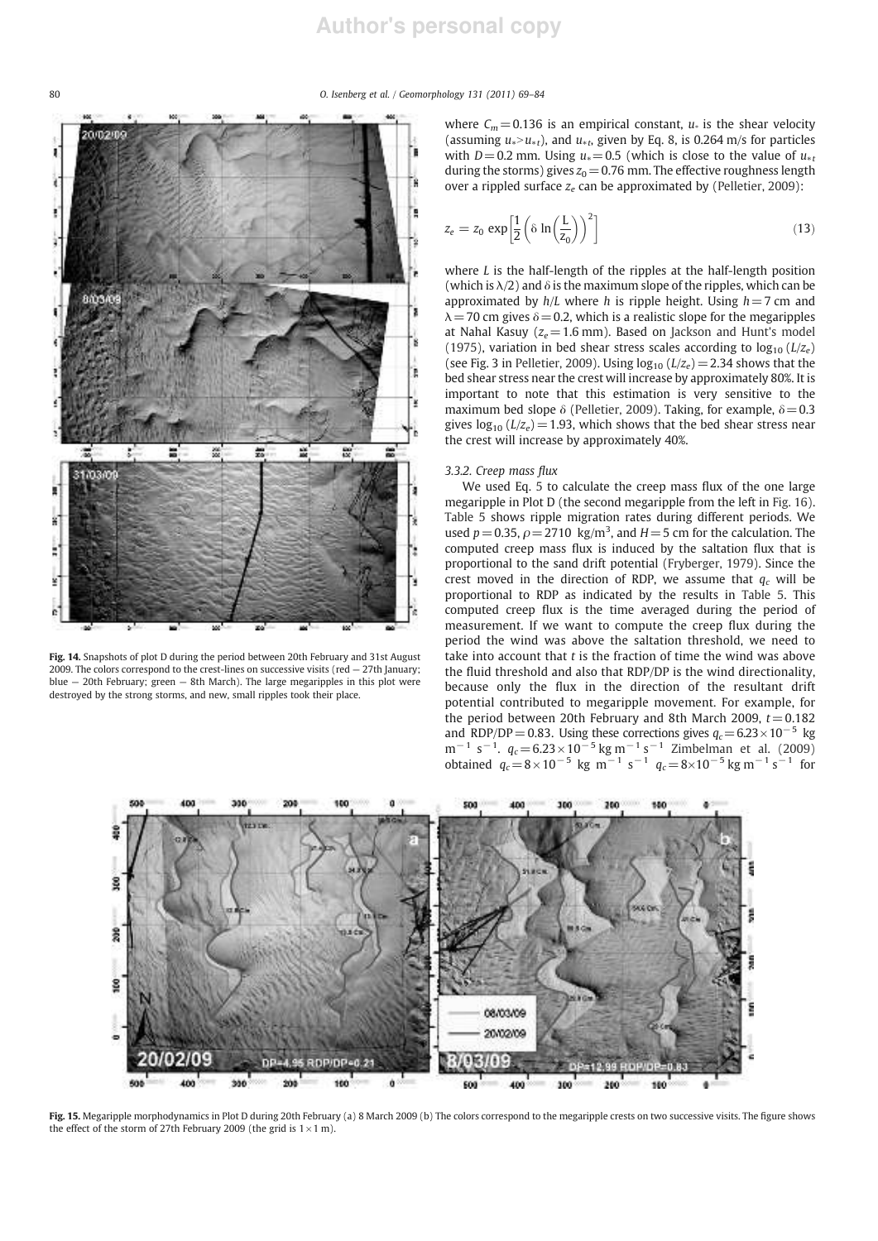20/02/0 8003408 31/03/09 × š E

Fig. 14. Snapshots of plot D during the period between 20th February and 31st August 2009. The colors correspond to the crest-lines on successive visits (red  $-$  27th January; blue — 20th February; green — 8th March). The large megaripples in this plot were destroyed by the strong storms, and new, small ripples took their place.

80 *O. Isenberg et al. / Geomorphology 131 (2011) 69*–*84*

where  $C_m = 0.136$  is an empirical constant,  $u_*$  is the shear velocity (assuming  $u_* > u_{*t}$ ), and  $u_{*t}$ , given by Eq. 8, is 0.264 m/s for particles with  $D = 0.2$  mm. Using  $u_* = 0.5$  (which is close to the value of  $u_*$ during the storms) gives  $z_0$  = 0.76 mm. The effective roughness length over a rippled surface *z<sup>e</sup>* can be approximated by (Pelletier, 2009):

$$
z_e = z_0 \exp\left[\frac{1}{2} \left(\delta \ln\left(\frac{L}{z_0}\right)\right)^2\right] \tag{13}
$$

where *L* is the half-length of the ripples at the half-length position (which is  $\lambda/2$ ) and  $\delta$  is the maximum slope of the ripples, which can be approximated by  $h/L$  where *h* is ripple height. Using  $h = 7$  cm and  $\lambda$  = 70 cm gives  $\delta$  = 0.2, which is a realistic slope for the megaripples at Nahal Kasuy  $(z_e = 1.6 \text{ mm})$ . Based on Jackson and Hunt's model (1975), variation in bed shear stress scales according to  $log_{10} (L/z_e)$ (see Fig. 3 in Pelletier, 2009). Using  $log_{10} (L/z_e) = 2.34$  shows that the bed shear stress near the crest will increase by approximately 80%. It is important to note that this estimation is very sensitive to the maximum bed slope  $\delta$  (Pelletier, 2009). Taking, for example,  $\delta = 0.3$ gives  $log_{10} (L/z_e) = 1.93$ , which shows that the bed shear stress near the crest will increase by approximately 40%.

### *3.3.2. Creep mass* fl*ux*

We used Eq. 5 to calculate the creep mass flux of the one large megaripple in Plot D (the second megaripple from the left in Fig. 16). Table 5 shows ripple migration rates during different periods. We used  $p = 0.35$ ,  $\rho = 2710 \text{ kg/m}^3$ , and  $H = 5 \text{ cm}$  for the calculation. The computed creep mass flux is induced by the saltation flux that is proportional to the sand drift potential (Fryberger, 1979). Since the crest moved in the direction of RDP, we assume that  $q_c$  will be proportional to RDP as indicated by the results in Table 5. This computed creep flux is the time averaged during the period of measurement. If we want to compute the creep flux during the period the wind was above the saltation threshold, we need to take into account that *t* is the fraction of time the wind was above the fluid threshold and also that RDP/DP is the wind directionality, because only the flux in the direction of the resultant drift potential contributed to megaripple movement. For example, for the period between 20th February and 8th March 2009,  $t = 0.182$ and RDP/DP = 0.83. Using these corrections gives  $q_c$  = 6.23 × 10<sup>-5</sup> kg m<sup>-1</sup> s<sup>-1</sup>.  $q_c$  = 6.23 × 10<sup>-5</sup> kg m<sup>-1</sup> s<sup>-1</sup> Zimbelman et al. (2009) obtained  $q_c = 8 \times 10^{-5}$  kg m<sup>-1</sup> s<sup>-1</sup>  $q_c = 8 \times 10^{-5}$  kg m<sup>-1</sup> s<sup>-1</sup> for



Fig. 15. Megaripple morphodynamics in Plot D during 20th February (a) 8 March 2009 (b) The colors correspond to the megaripple crests on two successive visits. The figure shows the effect of the storm of 27th February 2009 (the grid is  $1 \times 1$  m).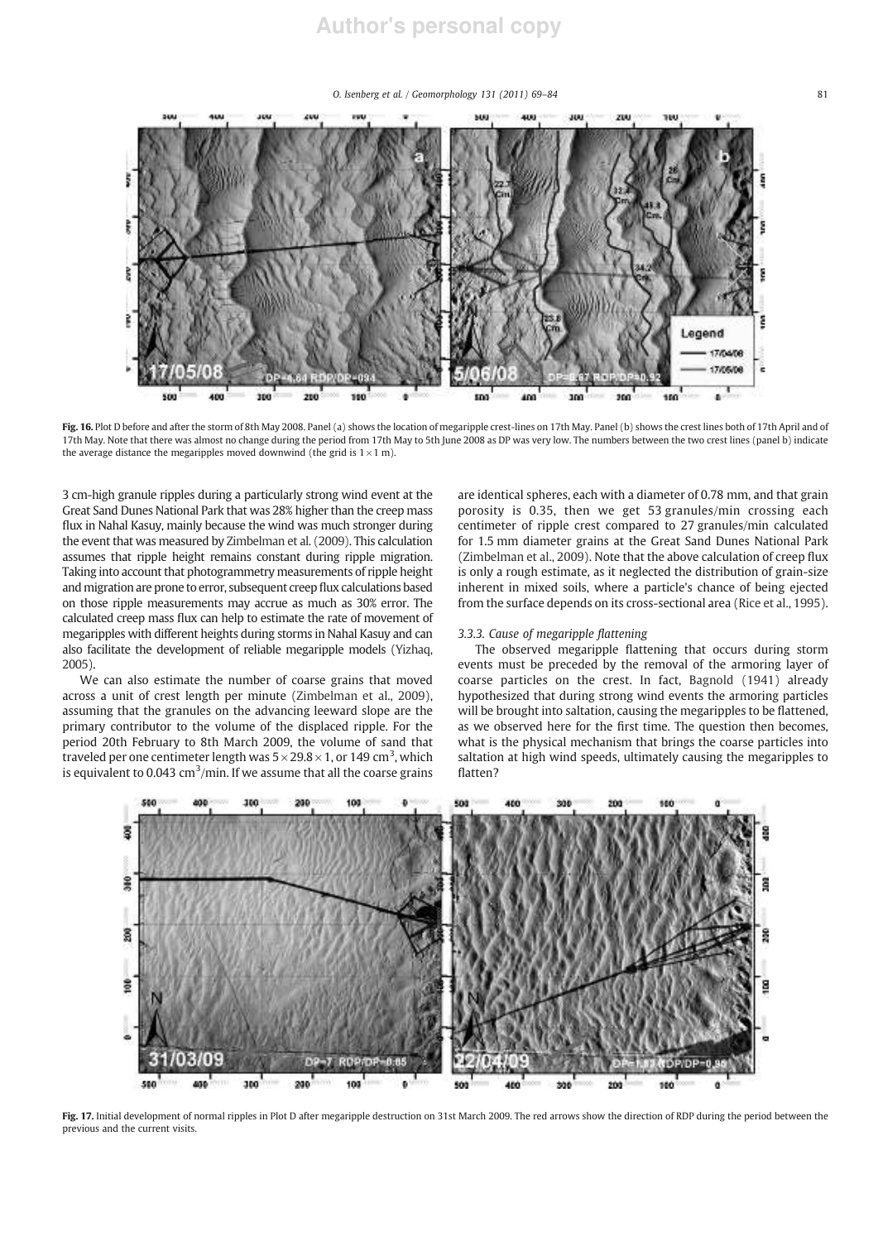

Fig. 16. Plot D before and after the storm of 8th May 2008. Panel (a) shows the location of megaripple crest-lines on 17th May. Panel (b) shows the crest lines both of 17th April and of 17th May. Note that there was almost no change during the period from 17th May to 5th June 2008 as DP was very low. The numbers between the two crest lines (panel b) indicate the average distance the megaripples moved downwind (the grid is  $1 \times 1$  m).

3 cm-high granule ripples during a particularly strong wind event at the Great Sand Dunes National Park that was 28% higher than the creep mass flux in Nahal Kasuy, mainly because the wind was much stronger during the event that was measured by Zimbelman et al. (2009). This calculation assumes that ripple height remains constant during ripple migration. Taking into account that photogrammetry measurements of ripple height and migration are prone to error, subsequent creep flux calculations based on those ripple measurements may accrue as much as 30% error. The calculated creep mass flux can help to estimate the rate of movement of megaripples with different heights during storms in Nahal Kasuy and can also facilitate the development of reliable megaripple models (Yizhaq, 2005).

We can also estimate the number of coarse grains that moved across a unit of crest length per minute (Zimbelman et al., 2009), assuming that the granules on the advancing leeward slope are the primary contributor to the volume of the displaced ripple. For the period 20th February to 8th March 2009, the volume of sand that traveled per one centimeter length was 5  $\times$  29.8  $\times$  1, or 149 cm<sup>3</sup>, which is equivalent to 0.043 cm<sup>3</sup>/min. If we assume that all the coarse grains

are identical spheres, each with a diameter of 0.78 mm, and that grain porosity is 0.35, then we get 53 granules/min crossing each centimeter of ripple crest compared to 27 granules/min calculated for 1.5 mm diameter grains at the Great Sand Dunes National Park (Zimbelman et al., 2009). Note that the above calculation of creep flux is only a rough estimate, as it neglected the distribution of grain-size inherent in mixed soils, where a particle's chance of being ejected from the surface depends on its cross-sectional area (Rice et al., 1995).

#### *3.3.3. Cause of megaripple* fl*attening*

The observed megaripple flattening that occurs during storm events must be preceded by the removal of the armoring layer of coarse particles on the crest. In fact, Bagnold (1941) already hypothesized that during strong wind events the armoring particles will be brought into saltation, causing the megaripples to be flattened, as we observed here for the first time. The question then becomes, what is the physical mechanism that brings the coarse particles into saltation at high wind speeds, ultimately causing the megaripples to flatten?



Fig. 17. Initial development of normal ripples in Plot D after megaripple destruction on 31st March 2009. The red arrows show the direction of RDP during the period between the previous and the current visits.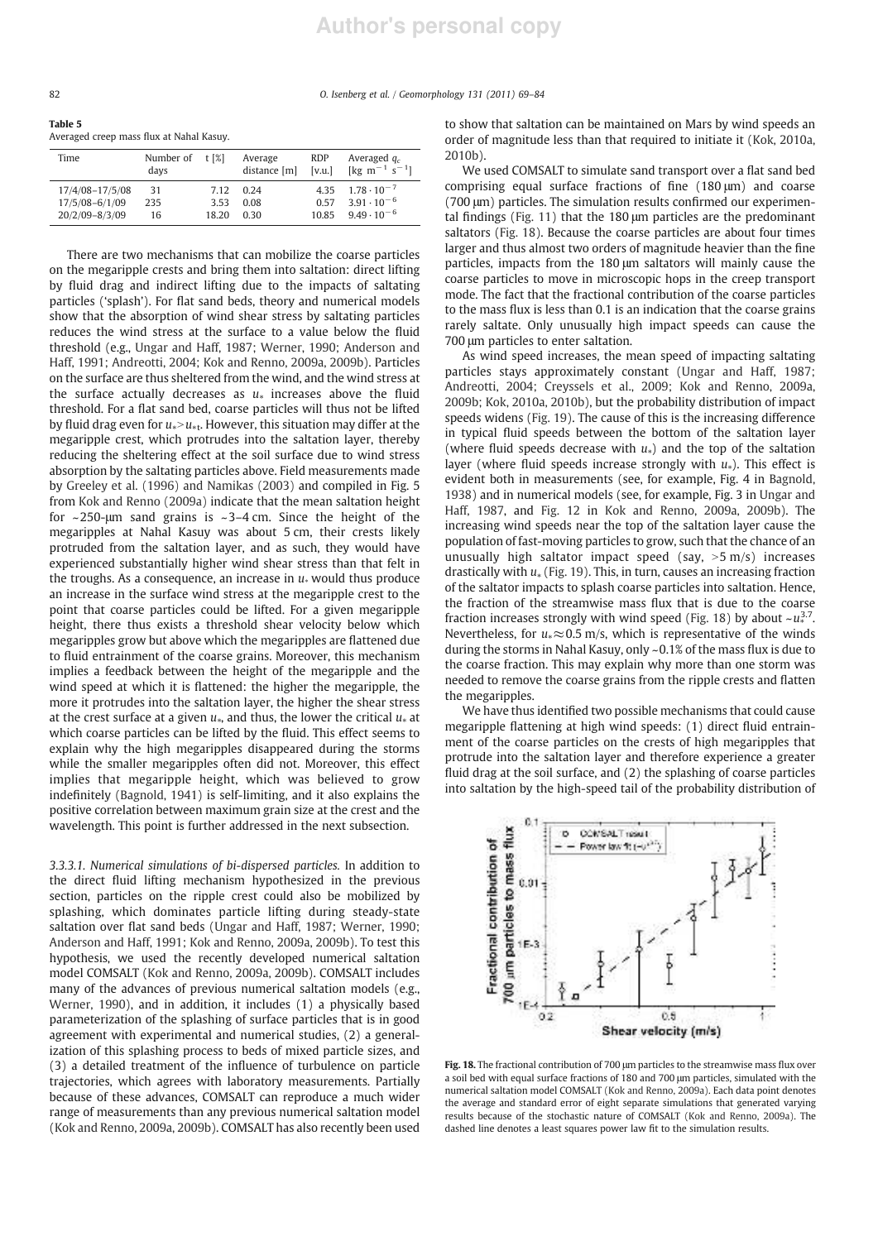Table 5

| Averaged creep mass flux at Nahal Kasuy. |  |
|------------------------------------------|--|
|------------------------------------------|--|

| Time               | Number of t [%]<br>days |       | Average<br>distance [m] | <b>RDP</b><br>[v.u.] | Averaged $q_c$<br>[kg m <sup>-1</sup> s <sup>-1</sup> ] |
|--------------------|-------------------------|-------|-------------------------|----------------------|---------------------------------------------------------|
| 17/4/08-17/5/08    | 31                      | 7.12  | 0.24                    |                      | $4.35 \quad 1.78 \cdot 10^{-7}$                         |
| 17/5/08-6/1/09     | 235                     | 3.53  | 0.08                    | 0.57                 | $3.91 \cdot 10^{-6}$                                    |
| $20/2/09 - 8/3/09$ | 16                      | 18.20 | 0.30                    | 10.85                | $949 \cdot 10^{-6}$                                     |

There are two mechanisms that can mobilize the coarse particles on the megaripple crests and bring them into saltation: direct lifting by fluid drag and indirect lifting due to the impacts of saltating particles ('splash'). For flat sand beds, theory and numerical models show that the absorption of wind shear stress by saltating particles reduces the wind stress at the surface to a value below the fluid threshold (e.g., Ungar and Haff, 1987; Werner, 1990; Anderson and Haff, 1991; Andreotti, 2004; Kok and Renno, 2009a, 2009b). Particles on the surface are thus sheltered from the wind, and the wind stress at the surface actually decreases as  $u_*$  increases above the fluid threshold. For a flat sand bed, coarse particles will thus not be lifted by fluid drag even for  $u_* > u_{**}$ . However, this situation may differ at the megaripple crest, which protrudes into the saltation layer, thereby reducing the sheltering effect at the soil surface due to wind stress absorption by the saltating particles above. Field measurements made by Greeley et al. (1996) and Namikas (2003) and compiled in Fig. 5 from Kok and Renno (2009a) indicate that the mean saltation height for  $\approx$  250-µm sand grains is  $\approx$  3–4 cm. Since the height of the megaripples at Nahal Kasuy was about 5 cm, their crests likely protruded from the saltation layer, and as such, they would have experienced substantially higher wind shear stress than that felt in the troughs. As a consequence, an increase in  $u_*$  would thus produce an increase in the surface wind stress at the megaripple crest to the point that coarse particles could be lifted. For a given megaripple height, there thus exists a threshold shear velocity below which megaripples grow but above which the megaripples are flattened due to fluid entrainment of the coarse grains. Moreover, this mechanism implies a feedback between the height of the megaripple and the wind speed at which it is flattened: the higher the megaripple, the more it protrudes into the saltation layer, the higher the shear stress at the crest surface at a given  $u_*$ , and thus, the lower the critical  $u_*$  at which coarse particles can be lifted by the fluid. This effect seems to explain why the high megaripples disappeared during the storms while the smaller megaripples often did not. Moreover, this effect implies that megaripple height, which was believed to grow indefinitely (Bagnold, 1941) is self-limiting, and it also explains the positive correlation between maximum grain size at the crest and the wavelength. This point is further addressed in the next subsection.

*3.3.3.1. Numerical simulations of bi-dispersed particles.* In addition to the direct fluid lifting mechanism hypothesized in the previous section, particles on the ripple crest could also be mobilized by splashing, which dominates particle lifting during steady-state saltation over flat sand beds (Ungar and Haff, 1987; Werner, 1990; Anderson and Haff, 1991; Kok and Renno, 2009a, 2009b). To test this hypothesis, we used the recently developed numerical saltation model COMSALT (Kok and Renno, 2009a, 2009b). COMSALT includes many of the advances of previous numerical saltation models (e.g., Werner, 1990), and in addition, it includes (1) a physically based parameterization of the splashing of surface particles that is in good agreement with experimental and numerical studies, (2) a generalization of this splashing process to beds of mixed particle sizes, and (3) a detailed treatment of the influence of turbulence on particle trajectories, which agrees with laboratory measurements. Partially because of these advances, COMSALT can reproduce a much wider range of measurements than any previous numerical saltation model (Kok and Renno, 2009a, 2009b). COMSALT has also recently been used

to show that saltation can be maintained on Mars by wind speeds an order of magnitude less than that required to initiate it (Kok, 2010a, 2010b).

We used COMSALT to simulate sand transport over a flat sand bed comprising equal surface fractions of fine (180 μm) and coarse (700 μm) particles. The simulation results confirmed our experimental findings (Fig. 11) that the 180 μm particles are the predominant saltators (Fig. 18). Because the coarse particles are about four times larger and thus almost two orders of magnitude heavier than the fine particles, impacts from the 180 μm saltators will mainly cause the coarse particles to move in microscopic hops in the creep transport mode. The fact that the fractional contribution of the coarse particles to the mass flux is less than 0.1 is an indication that the coarse grains rarely saltate. Only unusually high impact speeds can cause the 700 μm particles to enter saltation.

As wind speed increases, the mean speed of impacting saltating particles stays approximately constant (Ungar and Haff, 1987; Andreotti, 2004; Creyssels et al., 2009; Kok and Renno, 2009a, 2009b; Kok, 2010a, 2010b), but the probability distribution of impact speeds widens (Fig. 19). The cause of this is the increasing difference in typical fluid speeds between the bottom of the saltation layer (where fluid speeds decrease with  $u_*$ ) and the top of the saltation layer (where fluid speeds increase strongly with  $u_*$ ). This effect is evident both in measurements (see, for example, Fig. 4 in Bagnold, 1938) and in numerical models (see, for example, Fig. 3 in Ungar and Haff, 1987, and Fig. 12 in Kok and Renno, 2009a, 2009b). The increasing wind speeds near the top of the saltation layer cause the population of fast-moving particles to grow, such that the chance of an unusually high saltator impact speed (say,  $>$ 5 m/s) increases drastically with *u*<sub>\*</sub> (Fig. 19). This, in turn, causes an increasing fraction of the saltator impacts to splash coarse particles into saltation. Hence, the fraction of the streamwise mass flux that is due to the coarse fraction increases strongly with wind speed (Fig. 18) by about  $\sim u_*^{3.7}$ . Nevertheless, for  $u_* \approx 0.5$  m/s, which is representative of the winds during the storms in Nahal Kasuy, only ~0.1% of the mass flux is due to the coarse fraction. This may explain why more than one storm was needed to remove the coarse grains from the ripple crests and flatten the megaripples.

We have thus identified two possible mechanisms that could cause megaripple flattening at high wind speeds: (1) direct fluid entrainment of the coarse particles on the crests of high megaripples that protrude into the saltation layer and therefore experience a greater fluid drag at the soil surface, and (2) the splashing of coarse particles into saltation by the high-speed tail of the probability distribution of



Fig. 18. The fractional contribution of 700 μm particles to the streamwise mass flux over a soil bed with equal surface fractions of 180 and 700 μm particles, simulated with the numerical saltation model COMSALT (Kok and Renno, 2009a). Each data point denotes the average and standard error of eight separate simulations that generated varying results because of the stochastic nature of COMSALT (Kok and Renno, 2009a). The dashed line denotes a least squares power law fit to the simulation results.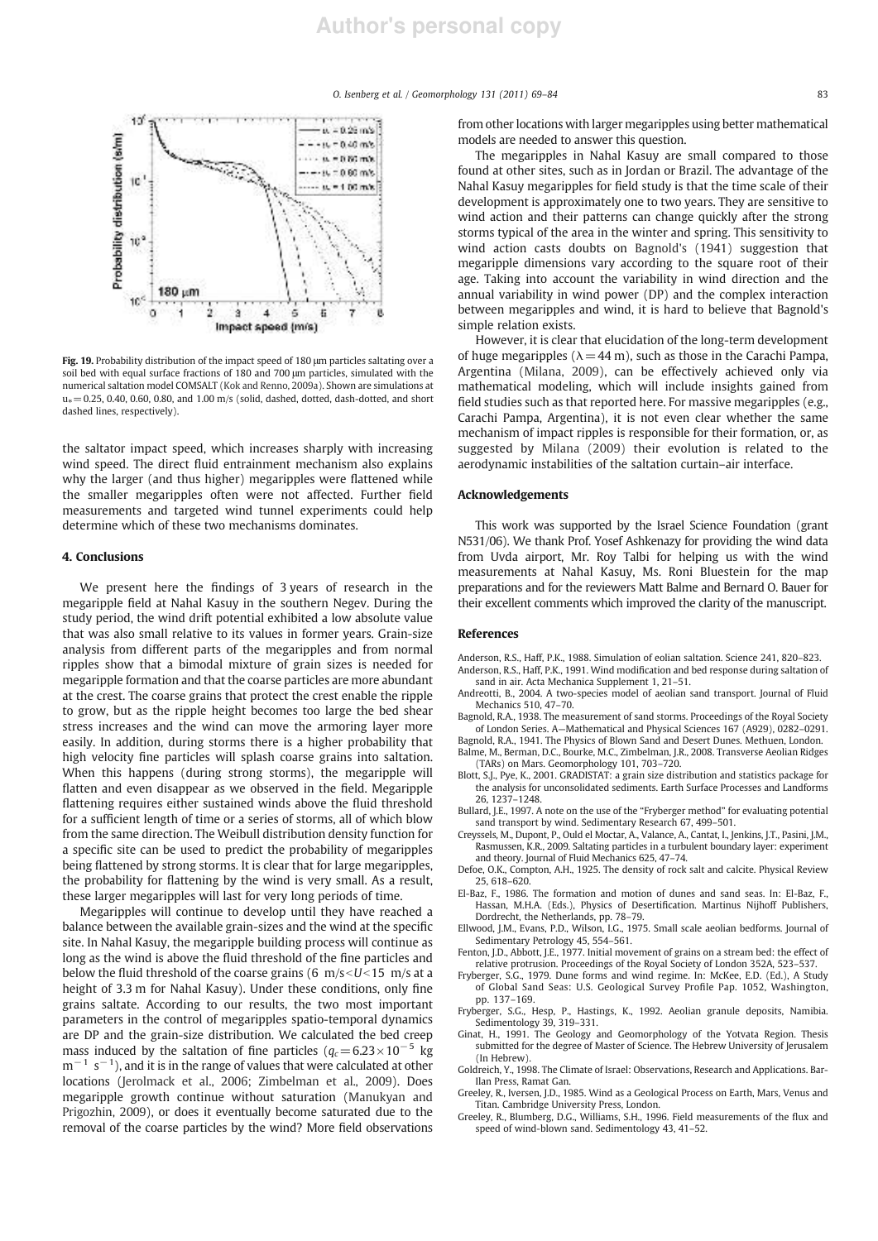

Fig. 19. Probability distribution of the impact speed of 180 μm particles saltating over a soil bed with equal surface fractions of 180 and 700 μm particles, simulated with the numerical saltation model COMSALT (Kok and Renno, 2009a). Shown are simulations at  $u_*$  = 0.25, 0.40, 0.60, 0.80, and 1.00 m/s (solid, dashed, dotted, dash-dotted, and short dashed lines, respectively).

the saltator impact speed, which increases sharply with increasing wind speed. The direct fluid entrainment mechanism also explains why the larger (and thus higher) megaripples were flattened while the smaller megaripples often were not affected. Further field measurements and targeted wind tunnel experiments could help determine which of these two mechanisms dominates.

#### 4. Conclusions

We present here the findings of 3 years of research in the megaripple field at Nahal Kasuy in the southern Negev. During the study period, the wind drift potential exhibited a low absolute value that was also small relative to its values in former years. Grain-size analysis from different parts of the megaripples and from normal ripples show that a bimodal mixture of grain sizes is needed for megaripple formation and that the coarse particles are more abundant at the crest. The coarse grains that protect the crest enable the ripple to grow, but as the ripple height becomes too large the bed shear stress increases and the wind can move the armoring layer more easily. In addition, during storms there is a higher probability that high velocity fine particles will splash coarse grains into saltation. When this happens (during strong storms), the megaripple will flatten and even disappear as we observed in the field. Megaripple flattening requires either sustained winds above the fluid threshold for a sufficient length of time or a series of storms, all of which blow from the same direction. The Weibull distribution density function for a specific site can be used to predict the probability of megaripples being flattened by strong storms. It is clear that for large megaripples, the probability for flattening by the wind is very small. As a result, these larger megaripples will last for very long periods of time.

Megaripples will continue to develop until they have reached a balance between the available grain-sizes and the wind at the specific site. In Nahal Kasuy, the megaripple building process will continue as long as the wind is above the fluid threshold of the fine particles and below the fluid threshold of the coarse grains (6 m/s  $U$  15 m/s at a height of 3.3 m for Nahal Kasuy). Under these conditions, only fine grains saltate. According to our results, the two most important parameters in the control of megaripples spatio-temporal dynamics are DP and the grain-size distribution. We calculated the bed creep mass induced by the saltation of fine particles  $(q_c=6.23\times10^{-5}$  kg  $m^{-1}$  s<sup>-1</sup>), and it is in the range of values that were calculated at other locations (Jerolmack et al., 2006; Zimbelman et al., 2009). Does megaripple growth continue without saturation (Manukyan and Prigozhin, 2009), or does it eventually become saturated due to the removal of the coarse particles by the wind? More field observations from other locations with larger megaripples using better mathematical models are needed to answer this question.

The megaripples in Nahal Kasuy are small compared to those found at other sites, such as in Jordan or Brazil. The advantage of the Nahal Kasuy megaripples for field study is that the time scale of their development is approximately one to two years. They are sensitive to wind action and their patterns can change quickly after the strong storms typical of the area in the winter and spring. This sensitivity to wind action casts doubts on Bagnold's (1941) suggestion that megaripple dimensions vary according to the square root of their age. Taking into account the variability in wind direction and the annual variability in wind power (DP) and the complex interaction between megaripples and wind, it is hard to believe that Bagnold's simple relation exists.

However, it is clear that elucidation of the long-term development of huge megaripples ( $\lambda = 44$  m), such as those in the Carachi Pampa, Argentina (Milana, 2009), can be effectively achieved only via mathematical modeling, which will include insights gained from field studies such as that reported here. For massive megaripples (e.g., Carachi Pampa, Argentina), it is not even clear whether the same mechanism of impact ripples is responsible for their formation, or, as suggested by Milana (2009) their evolution is related to the aerodynamic instabilities of the saltation curtain–air interface.

#### Acknowledgements

This work was supported by the Israel Science Foundation (grant N531/06). We thank Prof. Yosef Ashkenazy for providing the wind data from Uvda airport, Mr. Roy Talbi for helping us with the wind measurements at Nahal Kasuy, Ms. Roni Bluestein for the map preparations and for the reviewers Matt Balme and Bernard O. Bauer for their excellent comments which improved the clarity of the manuscript.

#### References

- Anderson, R.S., Haff, P.K., 1988. Simulation of eolian saltation. Science 241, 820–823. Anderson, R.S., Haff, P.K., 1991. Wind modification and bed response during saltation of
- sand in air. Acta Mechanica Supplement 1, 21–51. Andreotti, B., 2004. A two-species model of aeolian sand transport. Journal of Fluid
- Mechanics 510, 47–70. Bagnold, R.A., 1938. The measurement of sand storms. Proceedings of the Royal Society
- of London Series. A—Mathematical and Physical Sciences 167 (A929), 0282–0291. Bagnold, R.A., 1941. The Physics of Blown Sand and Desert Dunes. Methuen, London.
- Balme, M., Berman, D.C., Bourke, M.C., Zimbelman, J.R., 2008. Transverse Aeolian Ridges (TARs) on Mars. Geomorphology 101, 703–720.
- Blott, S.J., Pye, K., 2001. GRADISTAT: a grain size distribution and statistics package for the analysis for unconsolidated sediments. Earth Surface Processes and Landforms 26, 1237–1248.
- Bullard, J.E., 1997. A note on the use of the "Fryberger method" for evaluating potential sand transport by wind. Sedimentary Research 67, 499–501. Creyssels, M., Dupont, P., Ould el Moctar, A., Valance, A., Cantat, I., Jenkins, J.T., Pasini, J.M.,
- Rasmussen, K.R., 2009. Saltating particles in a turbulent boundary layer: experiment
- and theory. Journal of Fluid Mechanics 625, 47–74. Defoe, O.K., Compton, A.H., 1925. The density of rock salt and calcite. Physical Review 25, 618–620.
- El-Baz, F., 1986. The formation and motion of dunes and sand seas. In: El-Baz, F., Hassan, M.H.A. (Eds.), Physics of Desertification. Martinus Nijhoff Publishers, Dordrecht, the Netherlands, pp. 78–79.
- Ellwood, J.M., Evans, P.D., Wilson, I.G., 1975. Small scale aeolian bedforms. Journal of Sedimentary Petrology 45, 554–561.
- Fenton, J.D., Abbott, J.E., 1977. Initial movement of grains on a stream bed: the effect of relative protrusion. Proceedings of the Royal Society of London 352A, 523–537.
- Fryberger, S.G., 1979. Dune forms and wind regime. In: McKee, E.D. (Ed.), A Study of Global Sand Seas: U.S. Geological Survey Profile Pap. 1052, Washington, pp. 137–169.
- Fryberger, S.G., Hesp, P., Hastings, K., 1992. Aeolian granule deposits, Namibia. Sedimentology 39, 319–331. Ginat, H., 1991. The Geology and Geomorphology of the Yotvata Region. Thesis
- submitted for the degree of Master of Science. The Hebrew University of Jerusalem (In Hebrew)
- Goldreich, Y., 1998. The Climate of Israel: Observations, Research and Applications. Bar-Ilan Press, Ramat Gan.
- Greeley, R., Iversen, J.D., 1985. Wind as a Geological Process on Earth, Mars, Venus and Titan. Cambridge University Press, London.
- Greeley, R., Blumberg, D.G., Williams, S.H., 1996. Field measurements of the flux and speed of wind-blown sand. Sedimentology 43, 41–52.